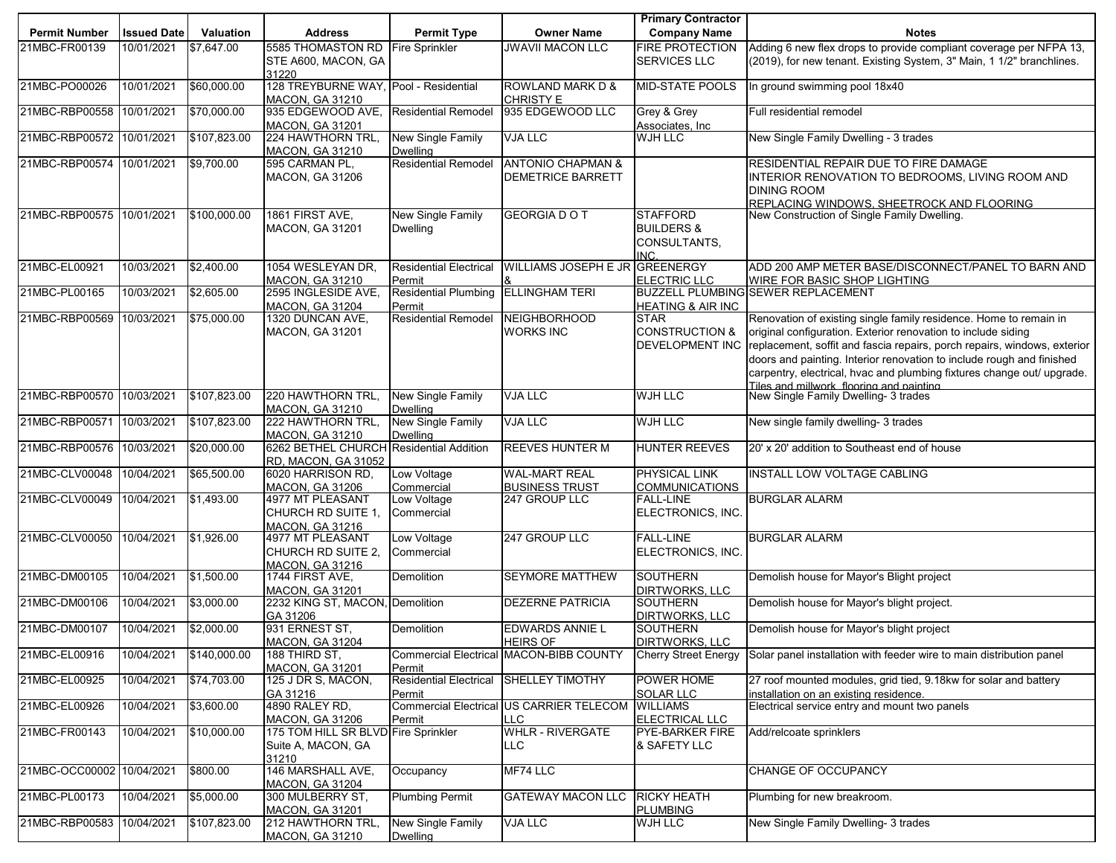|                           |                    |              |                                                                    |                                         |                                                            | <b>Primary Contractor</b>                                          |                                                                                                                                                                                                                |
|---------------------------|--------------------|--------------|--------------------------------------------------------------------|-----------------------------------------|------------------------------------------------------------|--------------------------------------------------------------------|----------------------------------------------------------------------------------------------------------------------------------------------------------------------------------------------------------------|
| <b>Permit Number</b>      | <b>Issued Date</b> | Valuation    | <b>Address</b>                                                     | <b>Permit Type</b>                      | <b>Owner Name</b>                                          | <b>Company Name</b>                                                | <b>Notes</b>                                                                                                                                                                                                   |
| 21MBC-FR00139             | 10/01/2021         | \$7,647.00   | 5585 THOMASTON RD Fire Sprinkler<br>STE A600, MACON, GA            |                                         | <b>JWAVII MACON LLC</b>                                    | <b>FIRE PROTECTION</b><br><b>SERVICES LLC</b>                      | Adding 6 new flex drops to provide compliant coverage per NFPA 13,<br>(2019), for new tenant. Existing System, 3" Main, 1 1/2" branchlines.                                                                    |
|                           |                    |              | 31220                                                              |                                         |                                                            |                                                                    |                                                                                                                                                                                                                |
| 21MBC-PO00026             | 10/01/2021         | \$60,000.00  | 128 TREYBURNE WAY, Pool - Residential<br><b>MACON, GA 31210</b>    |                                         | <b>ROWLAND MARK D &amp;</b><br><b>CHRISTY E</b>            | <b>MID-STATE POOLS</b>                                             | In ground swimming pool 18x40                                                                                                                                                                                  |
| 21MBC-RBP00558            | 10/01/2021         | \$70,000.00  | 935 EDGEWOOD AVE,<br><b>MACON, GA 31201</b>                        | <b>Residential Remodel</b>              | 935 EDGEWOOD LLC                                           | Grey & Grey<br>Associates, Inc.                                    | Full residential remodel                                                                                                                                                                                       |
| 21MBC-RBP00572 10/01/2021 |                    | \$107,823.00 | 224 HAWTHORN TRL,<br><b>MACON, GA 31210</b>                        | New Single Family<br><b>Dwelling</b>    | <b>VJA LLC</b>                                             | <b>WJH LLC</b>                                                     | New Single Family Dwelling - 3 trades                                                                                                                                                                          |
| 21MBC-RBP00574 10/01/2021 |                    | \$9,700.00   | 595 CARMAN PL,                                                     | <b>Residential Remodel</b>              | <b>ANTONIO CHAPMAN &amp;</b>                               |                                                                    | RESIDENTIAL REPAIR DUE TO FIRE DAMAGE                                                                                                                                                                          |
|                           |                    |              | <b>MACON, GA 31206</b>                                             |                                         | DEMETRICE BARRETT                                          |                                                                    | INTERIOR RENOVATION TO BEDROOMS, LIVING ROOM AND<br><b>DINING ROOM</b><br>REPLACING WINDOWS. SHEETROCK AND FLOORING.                                                                                           |
| 21MBC-RBP00575 10/01/2021 |                    | \$100,000.00 | 1861 FIRST AVE,                                                    | New Single Family                       | <b>GEORGIA DO T</b>                                        | <b>STAFFORD</b>                                                    | New Construction of Single Family Dwelling.                                                                                                                                                                    |
|                           |                    |              | <b>MACON, GA 31201</b>                                             | <b>Dwelling</b>                         |                                                            | <b>BUILDERS &amp;</b><br>CONSULTANTS,<br>INC.                      |                                                                                                                                                                                                                |
| 21MBC-EL00921             | 10/03/2021         | \$2,400.00   | 1054 WESLEYAN DR,<br><b>MACON, GA 31210</b>                        | <b>Residential Electrical</b><br>Permit | <b>WILLIAMS JOSEPH E JR GREENERGY</b>                      | <b>ELECTRIC LLC</b>                                                | ADD 200 AMP METER BASE/DISCONNECT/PANEL TO BARN AND<br><b>WIRE FOR BASIC SHOP LIGHTING</b>                                                                                                                     |
| 21MBC-PL00165             | 10/03/2021         | \$2,605.00   | 2595 INGLESIDE AVE,                                                | <b>Residential Plumbing</b>             | <b>ELLINGHAM TERI</b>                                      |                                                                    | <b>BUZZELL PLUMBING SEWER REPLACEMENT</b>                                                                                                                                                                      |
|                           |                    |              | <b>MACON, GA 31204</b>                                             | Permit                                  |                                                            | <b>HEATING &amp; AIR INC</b>                                       |                                                                                                                                                                                                                |
| 21MBC-RBP00569            | 10/03/2021         | \$75,000.00  | 1320 DUNCAN AVE,<br><b>MACON, GA 31201</b>                         | Residential Remodel                     | <b>NEIGHBORHOOD</b><br><b>WORKS INC</b>                    | <b>STAR</b><br><b>CONSTRUCTION &amp;</b><br><b>DEVELOPMENT INC</b> | Renovation of existing single family residence. Home to remain in<br>original configuration. Exterior renovation to include siding<br>replacement, soffit and fascia repairs, porch repairs, windows, exterior |
|                           |                    |              |                                                                    |                                         |                                                            |                                                                    | doors and painting. Interior renovation to include rough and finished<br>carpentry, electrical, hvac and plumbing fixtures change out/ upgrade.                                                                |
| 21MBC-RBP00570 10/03/2021 |                    | \$107,823.00 | 220 HAWTHORN TRL,<br><b>MACON, GA 31210</b>                        | New Single Family<br><b>Dwelling</b>    | <b>VJA LLC</b>                                             | <b>WJH LLC</b>                                                     | Tiles and millwork, flooring and painting<br>New Single Family Dwelling- 3 trades                                                                                                                              |
| 21MBC-RBP00571            | 10/03/2021         | \$107,823.00 | 222 HAWTHORN TRL,<br><b>MACON, GA 31210</b>                        | New Single Family<br><b>Dwelling</b>    | <b>VJA LLC</b>                                             | <b>WJH LLC</b>                                                     | New single family dwelling- 3 trades                                                                                                                                                                           |
| 21MBC-RBP00576 10/03/2021 |                    | \$20,000.00  | 6262 BETHEL CHURCH Residential Addition<br>RD, MACON, GA 31052     |                                         | <b>REEVES HUNTER M</b>                                     | <b>HUNTER REEVES</b>                                               | 20' x 20' addition to Southeast end of house                                                                                                                                                                   |
| 21MBC-CLV00048            | 10/04/2021         | \$65,500.00  | 6020 HARRISON RD,<br><b>MACON, GA 31206</b>                        | Low Voltage<br>Commercial               | <b>WAL-MART REAL</b>                                       | PHYSICAL LINK<br><b>COMMUNICATIONS</b>                             | INSTALL LOW VOLTAGE CABLING                                                                                                                                                                                    |
| 21MBC-CLV00049            | 10/04/2021         | \$1,493.00   | 4977 MT PLEASANT                                                   | Low Voltage                             | <b>BUSINESS TRUST</b><br>247 GROUP LLC                     | <b>FALL-LINE</b>                                                   | <b>BURGLAR ALARM</b>                                                                                                                                                                                           |
|                           |                    |              | CHURCH RD SUITE 1,<br><b>MACON, GA 31216</b>                       | Commercial                              |                                                            | ELECTRONICS, INC.                                                  |                                                                                                                                                                                                                |
| 21MBC-CLV00050            | 10/04/2021         | \$1,926.00   | 4977 MT PLEASANT                                                   | Low Voltage                             | 247 GROUP LLC                                              | <b>FALL-LINE</b>                                                   | <b>BURGLAR ALARM</b>                                                                                                                                                                                           |
|                           |                    |              | CHURCH RD SUITE 2.<br><b>MACON, GA 31216</b>                       | Commercial                              |                                                            | ELECTRONICS, INC.                                                  |                                                                                                                                                                                                                |
| 21MBC-DM00105             | 10/04/2021         | \$1,500.00   | 1744 FIRST AVE,<br><b>MACON, GA 31201</b>                          | Demolition                              | <b>SEYMORE MATTHEW</b>                                     | <b>SOUTHERN</b><br><b>DIRTWORKS, LLC</b>                           | Demolish house for Mayor's Blight project                                                                                                                                                                      |
| 21MBC-DM00106             | 10/04/2021         | \$3,000.00   | 2232 KING ST, MACON, Demolition<br>GA 31206                        |                                         | <b>DEZERNE PATRICIA</b>                                    | <b>SOUTHERN</b><br><b>DIRTWORKS, LLC</b>                           | Demolish house for Mayor's blight project.                                                                                                                                                                     |
| 21MBC-DM00107             | 10/04/2021         | \$2,000.00   | 931 ERNEST ST.                                                     | Demolition                              | <b>EDWARDS ANNIE L</b>                                     | <b>SOUTHERN</b>                                                    | Demolish house for Mayor's blight project                                                                                                                                                                      |
| 21MBC-EL00916             | 10/04/2021         | \$140,000.00 | <b>MACON, GA 31204</b><br>188 THIRD ST,                            |                                         | <b>HEIRS OF</b><br>Commercial Electrical MACON-BIBB COUNTY | DIRTWORKS, LLC<br><b>Cherry Street Energy</b>                      | Solar panel installation with feeder wire to main distribution panel                                                                                                                                           |
| 21MBC-EL00925             | 10/04/2021         | \$74,703.00  | <b>MACON, GA 31201</b><br>125 J DR S, MACON,                       | Permit<br><b>Residential Electrical</b> | <b>SHELLEY TIMOTHY</b>                                     | POWER HOME                                                         | 27 roof mounted modules, grid tied, 9.18kw for solar and battery                                                                                                                                               |
|                           |                    | \$3,600.00   | GA 31216<br>4890 RALEY RD,                                         | Permit<br><b>Commercial Electrical</b>  | US CARRIER TELECOM WILLIAMS                                | <b>SOLAR LLC</b>                                                   | installation on an existing residence.<br>Electrical service entry and mount two panels                                                                                                                        |
| 21MBC-EL00926             | 10/04/2021         |              | <b>MACON, GA 31206</b>                                             | Permit                                  | LLC                                                        | ELECTRICAL LLC                                                     |                                                                                                                                                                                                                |
| 21MBC-FR00143             | 10/04/2021         | \$10,000.00  | 175 TOM HILL SR BLVD Fire Sprinkler<br>Suite A, MACON, GA<br>31210 |                                         | <b>WHLR - RIVERGATE</b><br><b>LLC</b>                      | <b>PYE-BARKER FIRE</b><br>& SAFETY LLC                             | Add/relcoate sprinklers                                                                                                                                                                                        |
| 21MBC-OCC00002 10/04/2021 |                    | \$800.00     | 146 MARSHALL AVE,<br><b>MACON, GA 31204</b>                        | Occupancy                               | MF74 LLC                                                   |                                                                    | CHANGE OF OCCUPANCY                                                                                                                                                                                            |
| 21MBC-PL00173             | 10/04/2021         | \$5,000.00   | 300 MULBERRY ST,<br><b>MACON, GA 31201</b>                         | <b>Plumbing Permit</b>                  | <b>GATEWAY MACON LLC</b>                                   | <b>RICKY HEATH</b><br><b>PLUMBING</b>                              | Plumbing for new breakroom.                                                                                                                                                                                    |
| 21MBC-RBP00583            | 10/04/2021         | \$107,823.00 | 212 HAWTHORN TRL,<br><b>MACON, GA 31210</b>                        | New Single Family<br><b>Dwelling</b>    | <b>VJA LLC</b>                                             | <b>WJH LLC</b>                                                     | New Single Family Dwelling- 3 trades                                                                                                                                                                           |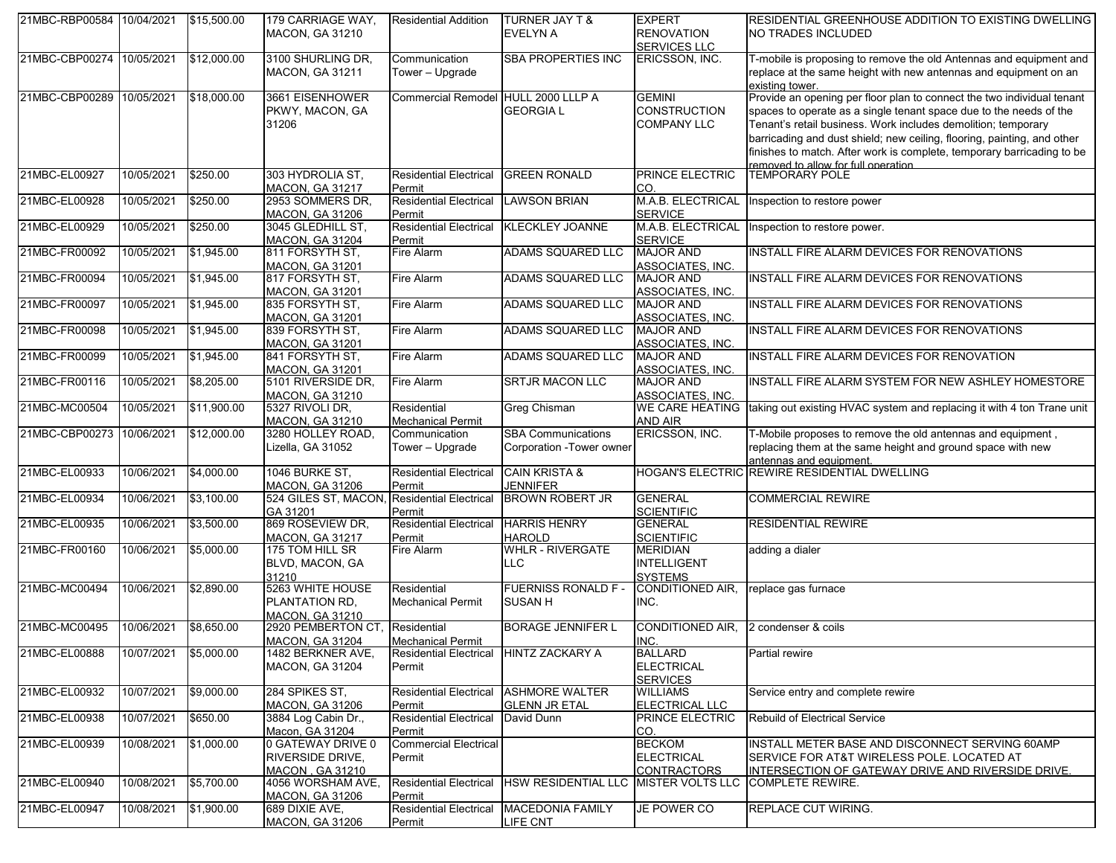| 21MBC-RBP00584 10/04/2021 |            | \$15,500.00 | 179 CARRIAGE WAY,<br><b>MACON, GA 31210</b>                            | <b>Residential Addition</b>             | <b>TURNER JAY T &amp;</b><br><b>EVELYN A</b>           | <b>EXPERT</b><br><b>RENOVATION</b><br><b>SERVICES LLC</b>  | <b>RESIDENTIAL GREENHOUSE ADDITION TO EXISTING DWELLING</b><br>NO TRADES INCLUDED                                                                                                                                                                                                                                                                                                                         |
|---------------------------|------------|-------------|------------------------------------------------------------------------|-----------------------------------------|--------------------------------------------------------|------------------------------------------------------------|-----------------------------------------------------------------------------------------------------------------------------------------------------------------------------------------------------------------------------------------------------------------------------------------------------------------------------------------------------------------------------------------------------------|
| 21MBC-CBP00274            | 10/05/2021 | \$12,000.00 | 3100 SHURLING DR,<br>MACON, GA 31211                                   | Communication<br>Tower - Upgrade        | <b>SBA PROPERTIES INC</b>                              | ERICSSON, INC.                                             | T-mobile is proposing to remove the old Antennas and equipment and<br>replace at the same height with new antennas and equipment on an<br>existing tower.                                                                                                                                                                                                                                                 |
| 21MBC-CBP00289 10/05/2021 |            | \$18,000.00 | 3661 EISENHOWER<br>PKWY, MACON, GA<br>31206                            | Commercial Remodel HULL 2000 LLLP A     | <b>GEORGIAL</b>                                        | <b>GEMINI</b><br><b>CONSTRUCTION</b><br><b>COMPANY LLC</b> | Provide an opening per floor plan to connect the two individual tenant<br>spaces to operate as a single tenant space due to the needs of the<br>Tenant's retail business. Work includes demolition; temporary<br>barricading and dust shield; new ceiling, flooring, painting, and other<br>finishes to match. After work is complete, temporary barricading to be<br>removed to allow for full operation |
| 21MBC-EL00927             | 10/05/2021 | \$250.00    | 303 HYDROLIA ST.<br><b>MACON, GA 31217</b>                             | <b>Residential Electrical</b><br>Permit | <b>GREEN RONALD</b>                                    | PRINCE ELECTRIC<br>CO.                                     | <b>TEMPORARY POLE</b>                                                                                                                                                                                                                                                                                                                                                                                     |
| 21MBC-EL00928             | 10/05/2021 | \$250.00    | 2953 SOMMERS DR,<br><b>MACON, GA 31206</b>                             | <b>Residential Electrical</b><br>Permit | <b>LAWSON BRIAN</b>                                    | M.A.B. ELECTRICAL<br><b>SERVICE</b>                        | Inspection to restore power                                                                                                                                                                                                                                                                                                                                                                               |
| 21MBC-EL00929             | 10/05/2021 | \$250.00    | 3045 GLEDHILL ST,<br><b>MACON, GA 31204</b>                            | <b>Residential Electrical</b><br>Permit | <b>KLECKLEY JOANNE</b>                                 | M.A.B. ELECTRICAL<br><b>SERVICE</b>                        | Inspection to restore power.                                                                                                                                                                                                                                                                                                                                                                              |
| 21MBC-FR00092             | 10/05/2021 | \$1,945.00  | 811 FORSYTH ST.<br><b>MACON, GA 31201</b>                              | Fire Alarm                              | ADAMS SQUARED LLC                                      | <b>MAJOR AND</b><br>ASSOCIATES, INC.                       | INSTALL FIRE ALARM DEVICES FOR RENOVATIONS                                                                                                                                                                                                                                                                                                                                                                |
| 21MBC-FR00094             | 10/05/2021 | \$1,945.00  | 817 FORSYTH ST,<br><b>MACON, GA 31201</b>                              | Fire Alarm                              | <b>ADAMS SQUARED LLC</b>                               | <b>MAJOR AND</b><br>ASSOCIATES, INC.                       | INSTALL FIRE ALARM DEVICES FOR RENOVATIONS                                                                                                                                                                                                                                                                                                                                                                |
| 21MBC-FR00097             | 10/05/2021 | \$1,945.00  | 835 FORSYTH ST.<br><b>MACON, GA 31201</b>                              | Fire Alarm                              | <b>ADAMS SQUARED LLC</b>                               | <b>MAJOR AND</b><br>ASSOCIATES, INC.                       | INSTALL FIRE ALARM DEVICES FOR RENOVATIONS                                                                                                                                                                                                                                                                                                                                                                |
| 21MBC-FR00098             | 10/05/2021 | \$1,945.00  | 839 FORSYTH ST.<br><b>MACON, GA 31201</b>                              | Fire Alarm                              | <b>ADAMS SQUARED LLC</b>                               | <b>MAJOR AND</b><br>ASSOCIATES, INC.                       | INSTALL FIRE ALARM DEVICES FOR RENOVATIONS                                                                                                                                                                                                                                                                                                                                                                |
| 21MBC-FR00099             | 10/05/2021 | \$1,945.00  | 841 FORSYTH ST.<br><b>MACON, GA 31201</b>                              | Fire Alarm                              | ADAMS SQUARED LLC                                      | <b>MAJOR AND</b><br>ASSOCIATES, INC.                       | INSTALL FIRE ALARM DEVICES FOR RENOVATION                                                                                                                                                                                                                                                                                                                                                                 |
| 21MBC-FR00116             | 10/05/2021 | \$8,205.00  | 5101 RIVERSIDE DR,<br><b>MACON, GA 31210</b>                           | Fire Alarm                              | <b>SRTJR MACON LLC</b>                                 | <b>MAJOR AND</b><br><b>ASSOCIATES, INC.</b>                | INSTALL FIRE ALARM SYSTEM FOR NEW ASHLEY HOMESTORE                                                                                                                                                                                                                                                                                                                                                        |
| 21MBC-MC00504             | 10/05/2021 | \$11,900.00 | 5327 RIVOLI DR.<br><b>MACON, GA 31210</b>                              | Residential<br><b>Mechanical Permit</b> | <b>Greg Chisman</b>                                    | <b>WE CARE HEATING</b><br>AND AIR                          | taking out existing HVAC system and replacing it with 4 ton Trane unit                                                                                                                                                                                                                                                                                                                                    |
| 21MBC-CBP00273 10/06/2021 |            | \$12,000.00 | 3280 HOLLEY ROAD,<br>Lizella, GA 31052                                 | Communication<br>Tower - Upgrade        | <b>SBA Communications</b><br>Corporation - Tower owner | ERICSSON, INC.                                             | T-Mobile proposes to remove the old antennas and equipment,<br>replacing them at the same height and ground space with new<br>antennas and equipment.                                                                                                                                                                                                                                                     |
| 21MBC-EL00933             | 10/06/2021 | \$4,000.00  | 1046 BURKE ST,<br><b>MACON, GA 31206</b>                               | <b>Residential Electrical</b><br>Permit | <b>CAIN KRISTA &amp;</b><br><b>JENNIFER</b>            |                                                            | HOGAN'S ELECTRIC REWIRE RESIDENTIAL DWELLING                                                                                                                                                                                                                                                                                                                                                              |
| 21MBC-EL00934             | 10/06/2021 | \$3,100.00  | 524 GILES ST, MACON, Residential Electrical<br>GA 31201                | Permit                                  | <b>BROWN ROBERT JR</b>                                 | <b>GENERAL</b><br><b>SCIENTIFIC</b>                        | <b>COMMERCIAL REWIRE</b>                                                                                                                                                                                                                                                                                                                                                                                  |
| 21MBC-EL00935             | 10/06/2021 | \$3,500.00  | 869 ROSEVIEW DR,<br><b>MACON, GA 31217</b>                             | <b>Residential Electrical</b><br>Permit | <b>HARRIS HENRY</b><br><b>HAROLD</b>                   | <b>GENERAL</b><br><b>SCIENTIFIC</b>                        | <b>RESIDENTIAL REWIRE</b>                                                                                                                                                                                                                                                                                                                                                                                 |
| 21MBC-FR00160             | 10/06/2021 | \$5,000.00  | 175 TOM HILL SR<br>BLVD, MACON, GA<br>31210                            | Fire Alarm                              | <b>WHLR - RIVERGATE</b><br><b>LLC</b>                  | <b>MERIDIAN</b><br><b>INTELLIGENT</b><br><b>SYSTEMS</b>    | adding a dialer                                                                                                                                                                                                                                                                                                                                                                                           |
| 21MBC-MC00494             | 10/06/2021 | \$2,890.00  | 5263 WHITE HOUSE<br>PLANTATION RD,<br><b>MACON, GA 31210</b>           | Residential<br><b>Mechanical Permit</b> | <b>FUERNISS RONALD F-</b><br><b>SUSAN H</b>            | CONDITIONED AIR,<br>INC.                                   | replace gas furnace                                                                                                                                                                                                                                                                                                                                                                                       |
| 21MBC-MC00495             | 10/06/2021 | \$8,650.00  | 2920 PEMBERTON CT, Residential<br><b>MACON, GA 31204</b>               | <b>Mechanical Permit</b>                | <b>BORAGE JENNIFER L</b>                               | <b>CONDITIONED AIR,</b><br>INC.                            | 2 condenser & coils                                                                                                                                                                                                                                                                                                                                                                                       |
| 21MBC-EL00888             | 10/07/2021 | \$5,000.00  | 1482 BERKNER AVE,<br><b>MACON, GA 31204</b>                            | <b>Residential Electrical</b><br>Permit | <b>HINTZ ZACKARY A</b>                                 | <b>BALLARD</b><br><b>ELECTRICAL</b><br><b>SERVICES</b>     | Partial rewire                                                                                                                                                                                                                                                                                                                                                                                            |
| 21MBC-EL00932             | 10/07/2021 | \$9,000.00  | 284 SPIKES ST,<br><b>MACON, GA 31206</b>                               | <b>Residential Electrical</b><br>Permit | <b>ASHMORE WALTER</b><br><b>GLENN JR ETAL</b>          | <b>WILLIAMS</b><br>ELECTRICAL LLC                          | Service entry and complete rewire                                                                                                                                                                                                                                                                                                                                                                         |
| 21MBC-EL00938             | 10/07/2021 | \$650.00    | 3884 Log Cabin Dr.,<br>Macon, GA 31204                                 | <b>Residential Electrical</b><br>Permit | David Dunn                                             | PRINCE ELECTRIC<br>CO.                                     | Rebuild of Electrical Service                                                                                                                                                                                                                                                                                                                                                                             |
| 21MBC-EL00939             | 10/08/2021 | \$1,000.00  | 0 GATEWAY DRIVE 0<br><b>RIVERSIDE DRIVE,</b><br><b>MACON. GA 31210</b> | <b>Commercial Electrical</b><br>Permit  |                                                        | <b>BECKOM</b><br><b>ELECTRICAL</b><br><b>CONTRACTORS</b>   | INSTALL METER BASE AND DISCONNECT SERVING 60AMP<br>SERVICE FOR AT&T WIRELESS POLE. LOCATED AT<br>INTERSECTION OF GATEWAY DRIVE AND RIVERSIDE DRIVE.                                                                                                                                                                                                                                                       |
| 21MBC-EL00940             | 10/08/2021 | \$5,700.00  | 4056 WORSHAM AVE,<br><b>MACON, GA 31206</b>                            | <b>Residential Electrical</b><br>Permit | <b>HSW RESIDENTIAL LLC</b>                             | <b>MISTER VOLTS LLC</b>                                    | <b>COMPLETE REWIRE.</b>                                                                                                                                                                                                                                                                                                                                                                                   |
| 21MBC-EL00947             | 10/08/2021 | \$1,900.00  | 689 DIXIE AVE,<br><b>MACON, GA 31206</b>                               | <b>Residential Electrical</b><br>Permit | <b>MACEDONIA FAMILY</b><br>LIFE CNT                    | JE POWER CO                                                | REPLACE CUT WIRING.                                                                                                                                                                                                                                                                                                                                                                                       |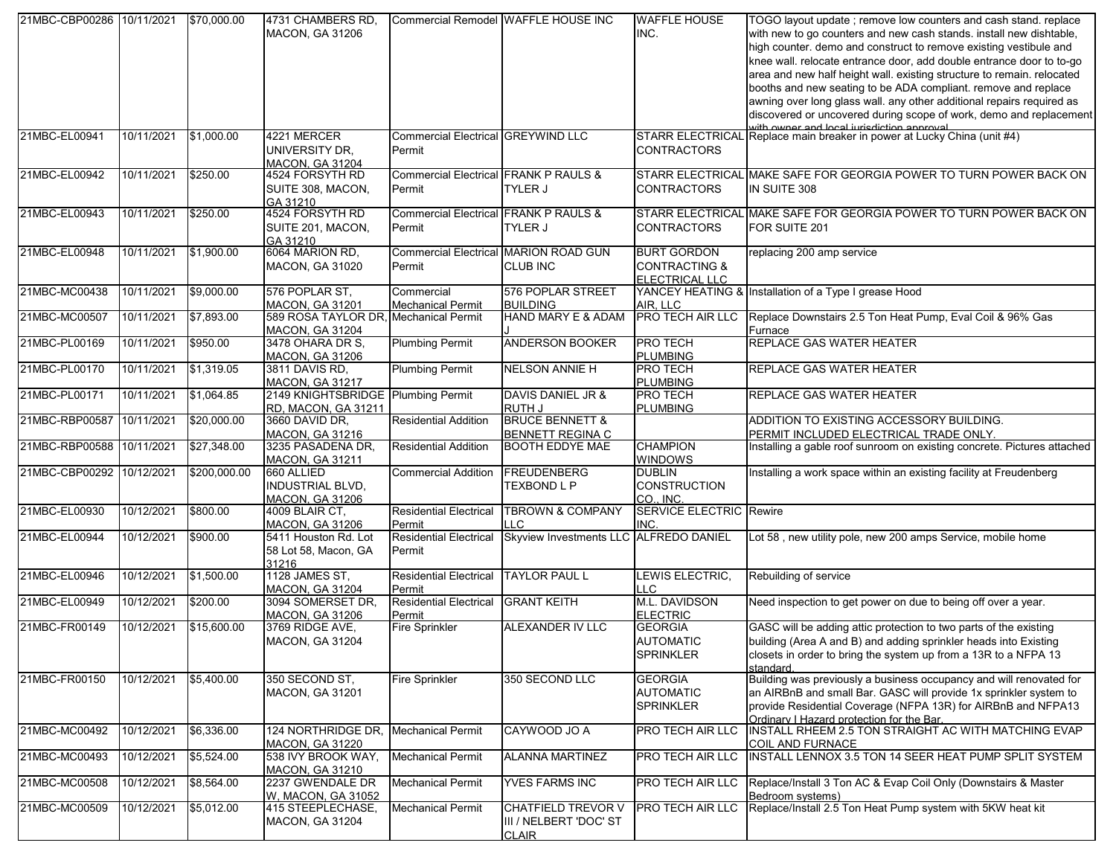| 21MBC-CBP00286 10/11/2021 |            | \$70,000.00  | 4731 CHAMBERS RD.<br><b>MACON, GA 31206</b>                     |                                                            | Commercial Remodel WAFFLE HOUSE INC                                 | <b>WAFFLE HOUSE</b><br>INC.                                      | TOGO layout update ; remove low counters and cash stand. replace<br>with new to go counters and new cash stands. install new dishtable,<br>high counter. demo and construct to remove existing vestibule and<br>knee wall. relocate entrance door, add double entrance door to to-go<br>area and new half height wall. existing structure to remain. relocated<br>booths and new seating to be ADA compliant. remove and replace<br>awning over long glass wall. any other additional repairs required as<br>discovered or uncovered during scope of work, demo and replacement<br>with owner and local juricdiction approval |
|---------------------------|------------|--------------|-----------------------------------------------------------------|------------------------------------------------------------|---------------------------------------------------------------------|------------------------------------------------------------------|-------------------------------------------------------------------------------------------------------------------------------------------------------------------------------------------------------------------------------------------------------------------------------------------------------------------------------------------------------------------------------------------------------------------------------------------------------------------------------------------------------------------------------------------------------------------------------------------------------------------------------|
| 21MBC-EL00941             | 10/11/2021 | \$1,000.00   | 4221 MERCER<br>UNIVERSITY DR.<br><b>MACON, GA 31204</b>         | <b>Commercial Electrical GREYWIND LLC</b><br>Permit        |                                                                     | <b>CONTRACTORS</b>                                               | STARR ELECTRICAL Replace main breaker in power at Lucky China (unit #4)                                                                                                                                                                                                                                                                                                                                                                                                                                                                                                                                                       |
| 21MBC-EL00942             | 10/11/2021 | \$250.00     | 4524 FORSYTH RD<br>SUITE 308, MACON,<br>GA 31210                | <b>Commercial Electrical FRANK P RAULS &amp;</b><br>Permit | <b>TYLER J</b>                                                      | <b>CONTRACTORS</b>                                               | STARR ELECTRICAL MAKE SAFE FOR GEORGIA POWER TO TURN POWER BACK ON<br>IN SUITE 308                                                                                                                                                                                                                                                                                                                                                                                                                                                                                                                                            |
| 21MBC-EL00943             | 10/11/2021 | \$250.00     | 4524 FORSYTH RD<br>SUITE 201, MACON,<br>GA 31210                | <b>Commercial Electrical FRANK P RAULS &amp;</b><br>Permit | TYLER J                                                             | CONTRACTORS                                                      | STARR ELECTRICAL MAKE SAFE FOR GEORGIA POWER TO TURN POWER BACK ON<br>FOR SUITE 201                                                                                                                                                                                                                                                                                                                                                                                                                                                                                                                                           |
| 21MBC-EL00948             | 10/11/2021 | \$1,900.00   | 6064 MARION RD.<br><b>MACON, GA 31020</b>                       | Permit                                                     | Commercial Electrical MARION ROAD GUN<br><b>CLUB INC</b>            | <b>BURT GORDON</b><br><b>CONTRACTING &amp;</b><br>ELECTRICAL LLC | replacing 200 amp service                                                                                                                                                                                                                                                                                                                                                                                                                                                                                                                                                                                                     |
| 21MBC-MC00438             | 10/11/2021 | \$9,000.00   | 576 POPLAR ST,<br><b>MACON, GA 31201</b>                        | Commercial<br><b>Mechanical Permit</b>                     | 576 POPLAR STREET<br><b>BUILDING</b>                                | AIR, LLC                                                         | YANCEY HEATING & Installation of a Type I grease Hood                                                                                                                                                                                                                                                                                                                                                                                                                                                                                                                                                                         |
| 21MBC-MC00507             | 10/11/2021 | \$7,893.00   | 589 ROSA TAYLOR DR, Mechanical Permit<br><b>MACON, GA 31204</b> |                                                            | HAND MARY E & ADAM                                                  | <b>PRO TECH AIR LLC</b>                                          | Replace Downstairs 2.5 Ton Heat Pump, Eval Coil & 96% Gas<br>Furnace                                                                                                                                                                                                                                                                                                                                                                                                                                                                                                                                                          |
| 21MBC-PL00169             | 10/11/2021 | \$950.00     | 3478 OHARA DR S.<br><b>MACON, GA 31206</b>                      | <b>Plumbing Permit</b>                                     | <b>ANDERSON BOOKER</b>                                              | <b>PRO TECH</b><br><b>PLUMBING</b>                               | <b>REPLACE GAS WATER HEATER</b>                                                                                                                                                                                                                                                                                                                                                                                                                                                                                                                                                                                               |
| 21MBC-PL00170             | 10/11/2021 | \$1,319.05   | 3811 DAVIS RD.<br>MACON, GA 31217                               | <b>Plumbing Permit</b>                                     | <b>NELSON ANNIE H</b>                                               | <b>PRO TECH</b><br><b>PLUMBING</b>                               | REPLACE GAS WATER HEATER                                                                                                                                                                                                                                                                                                                                                                                                                                                                                                                                                                                                      |
| 21MBC-PL00171             | 10/11/2021 | \$1,064.85   | 2149 KNIGHTSBRIDGE Plumbing Permit<br>RD, MACON, GA 31211       |                                                            | DAVIS DANIEL JR &<br>RUTH J                                         | PRO TECH<br><b>PLUMBING</b>                                      | REPLACE GAS WATER HEATER                                                                                                                                                                                                                                                                                                                                                                                                                                                                                                                                                                                                      |
| 21MBC-RBP00587            | 10/11/2021 | \$20,000.00  | 3660 DAVID DR,<br>MACON, GA 31216                               | <b>Residential Addition</b>                                | <b>BRUCE BENNETT &amp;</b><br><b>BENNETT REGINA C</b>               |                                                                  | ADDITION TO EXISTING ACCESSORY BUILDING.<br>PERMIT INCLUDED ELECTRICAL TRADE ONLY.                                                                                                                                                                                                                                                                                                                                                                                                                                                                                                                                            |
| 21MBC-RBP00588 10/11/2021 |            | \$27,348.00  | 3235 PASADENA DR,<br><b>MACON, GA 31211</b>                     | <b>Residential Addition</b>                                | <b>BOOTH EDDYE MAE</b>                                              | <b>CHAMPION</b><br><b>WINDOWS</b>                                | Installing a gable roof sunroom on existing concrete. Pictures attached                                                                                                                                                                                                                                                                                                                                                                                                                                                                                                                                                       |
| 21MBC-CBP00292 10/12/2021 |            | \$200,000.00 | 660 ALLIED<br><b>INDUSTRIAL BLVD,</b><br><b>MACON. GA 31206</b> | <b>Commercial Addition</b>                                 | <b>FREUDENBERG</b><br>TEXBOND L P                                   | <b>DUBLIN</b><br><b>CONSTRUCTION</b><br>CO., INC.                | Installing a work space within an existing facility at Freudenberg                                                                                                                                                                                                                                                                                                                                                                                                                                                                                                                                                            |
| 21MBC-EL00930             | 10/12/2021 | \$800.00     | 4009 BLAIR CT.<br><b>MACON, GA 31206</b>                        | <b>Residential Electrical</b><br>Permit                    | <b>TBROWN &amp; COMPANY</b><br><b>LLC</b>                           | <b>SERVICE ELECTRIC Rewire</b><br>INC.                           |                                                                                                                                                                                                                                                                                                                                                                                                                                                                                                                                                                                                                               |
| 21MBC-EL00944             | 10/12/2021 | \$900.00     | 5411 Houston Rd. Lot<br>58 Lot 58, Macon, GA<br>31216           | <b>Residential Electrical</b><br>Permit                    | Skyview Investments LLC ALFREDO DANIEL                              |                                                                  | Lot 58, new utility pole, new 200 amps Service, mobile home                                                                                                                                                                                                                                                                                                                                                                                                                                                                                                                                                                   |
| 21MBC-EL00946             | 10/12/2021 | \$1,500.00   | 1128 JAMES ST.<br><b>MACON, GA 31204</b>                        | <b>Residential Electrical</b><br>Permit                    | <b>TAYLOR PAUL L</b>                                                | LEWIS ELECTRIC,<br>LLC                                           | Rebuilding of service                                                                                                                                                                                                                                                                                                                                                                                                                                                                                                                                                                                                         |
| 21MBC-EL00949             | 10/12/2021 | \$200.00     | 3094 SOMERSET DR,<br><b>MACON, GA 31206</b>                     | <b>Residential Electrical</b><br>Permit                    | <b>GRANT KEITH</b>                                                  | M.L. DAVIDSON<br><b>ELECTRIC</b>                                 | Need inspection to get power on due to being off over a year.                                                                                                                                                                                                                                                                                                                                                                                                                                                                                                                                                                 |
| 21MBC-FR00149             | 10/12/2021 | \$15,600.00  | 3769 RIDGE AVE,<br>MACON, GA 31204                              | <b>Fire Sprinkler</b>                                      | <b>ALEXANDER IV LLC</b>                                             | <b>GEORGIA</b><br><b>AUTOMATIC</b><br><b>SPRINKLER</b>           | GASC will be adding attic protection to two parts of the existing<br>building (Area A and B) and adding sprinkler heads into Existing<br>closets in order to bring the system up from a 13R to a NFPA 13<br>standard                                                                                                                                                                                                                                                                                                                                                                                                          |
| 21MBC-FR00150             | 10/12/2021 | \$5,400.00   | 350 SECOND ST.<br><b>MACON, GA 31201</b>                        | <b>Fire Sprinkler</b>                                      | 350 SECOND LLC                                                      | <b>GEORGIA</b><br><b>AUTOMATIC</b><br><b>SPRINKLER</b>           | Building was previously a business occupancy and will renovated for<br>an AIRBnB and small Bar. GASC will provide 1x sprinkler system to<br>provide Residential Coverage (NFPA 13R) for AIRBnB and NFPA13<br>Ordinary I Hazard protection for the Bar.                                                                                                                                                                                                                                                                                                                                                                        |
| 21MBC-MC00492             | 10/12/2021 | \$6,336.00   | 124 NORTHRIDGE DR, Mechanical Permit<br><b>MACON, GA 31220</b>  |                                                            | CAYWOOD JO A                                                        | PRO TECH AIR LLC                                                 | INSTALL RHEEM 2.5 TON STRAIGHT AC WITH MATCHING EVAP<br>COIL AND FURNACE                                                                                                                                                                                                                                                                                                                                                                                                                                                                                                                                                      |
| 21MBC-MC00493             | 10/12/2021 | \$5,524.00   | 538 IVY BROOK WAY,<br><b>MACON, GA 31210</b>                    | <b>Mechanical Permit</b>                                   | <b>ALANNA MARTINEZ</b>                                              | PRO TECH AIR LLC                                                 | INSTALL LENNOX 3.5 TON 14 SEER HEAT PUMP SPLIT SYSTEM                                                                                                                                                                                                                                                                                                                                                                                                                                                                                                                                                                         |
| 21MBC-MC00508             | 10/12/2021 | \$8,564.00   | 2237 GWENDALE DR<br>W. MACON, GA 31052                          | <b>Mechanical Permit</b>                                   | <b>YVES FARMS INC</b>                                               | PRO TECH AIR LLC                                                 | Replace/Install 3 Ton AC & Evap Coil Only (Downstairs & Master<br>Bedroom systems)                                                                                                                                                                                                                                                                                                                                                                                                                                                                                                                                            |
| 21MBC-MC00509             | 10/12/2021 | \$5,012.00   | 415 STEEPLECHASE,<br><b>MACON, GA 31204</b>                     | <b>Mechanical Permit</b>                                   | <b>CHATFIELD TREVOR V</b><br>III / NELBERT 'DOC' ST<br><b>CLAIR</b> | PRO TECH AIR LLC                                                 | Replace/Install 2.5 Ton Heat Pump system with 5KW heat kit                                                                                                                                                                                                                                                                                                                                                                                                                                                                                                                                                                    |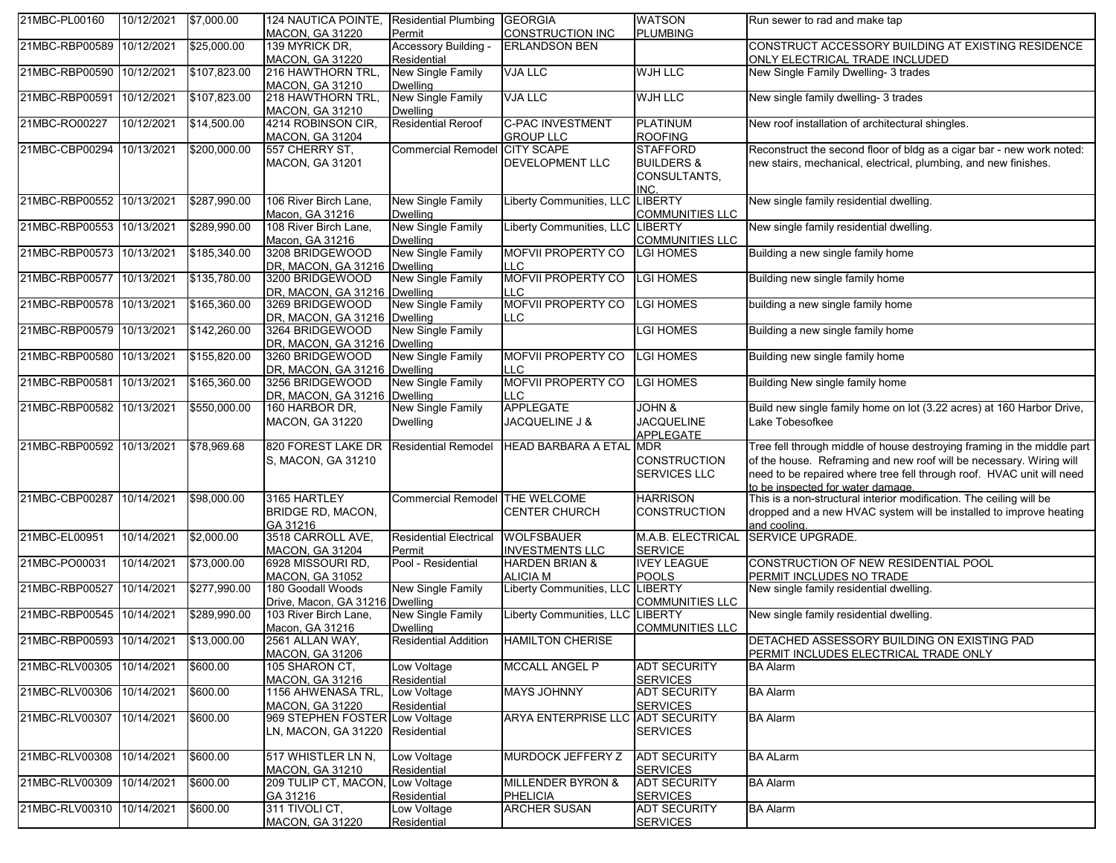| 21MBC-PL00160             | 10/12/2021 | \$7,000.00   | 124 NAUTICA POINTE, Residential Plumbing<br>MACON, GA 31220       | Permit                                      | <b>GEORGIA</b><br><b>CONSTRUCTION INC</b>       | <b>WATSON</b><br><b>PLUMBING</b>                                 | Run sewer to rad and make tap                                                                                                                                                                                                                                |
|---------------------------|------------|--------------|-------------------------------------------------------------------|---------------------------------------------|-------------------------------------------------|------------------------------------------------------------------|--------------------------------------------------------------------------------------------------------------------------------------------------------------------------------------------------------------------------------------------------------------|
| 21MBC-RBP00589 10/12/2021 |            | \$25,000.00  | 139 MYRICK DR.<br><b>MACON, GA 31220</b>                          | Accessory Building -<br>Residential         | <b>ERLANDSON BEN</b>                            |                                                                  | CONSTRUCT ACCESSORY BUILDING AT EXISTING RESIDENCE<br>ONLY ELECTRICAL TRADE INCLUDED                                                                                                                                                                         |
| 21MBC-RBP00590 10/12/2021 |            | \$107,823.00 | 216 HAWTHORN TRL,<br><b>MACON, GA 31210</b>                       | New Single Family<br><b>Dwelling</b>        | <b>VJA LLC</b>                                  | <b>WJH LLC</b>                                                   | New Single Family Dwelling- 3 trades                                                                                                                                                                                                                         |
| 21MBC-RBP00591 10/12/2021 |            | \$107,823.00 | 218 HAWTHORN TRL,<br><b>MACON, GA 31210</b>                       | New Single Family<br><b>Dwelling</b>        | <b>VJA LLC</b>                                  | <b>WJH LLC</b>                                                   | New single family dwelling- 3 trades                                                                                                                                                                                                                         |
| 21MBC-RO00227             | 10/12/2021 | \$14,500.00  | 4214 ROBINSON CIR,<br><b>MACON, GA 31204</b>                      | <b>Residential Reroof</b>                   | <b>C-PAC INVESTMENT</b><br><b>GROUP LLC</b>     | <b>PLATINUM</b><br><b>ROOFING</b>                                | New roof installation of architectural shingles.                                                                                                                                                                                                             |
| 21MBC-CBP00294            | 10/13/2021 | \$200,000.00 | 557 CHERRY ST,<br><b>MACON, GA 31201</b>                          | <b>Commercial Remodel</b>                   | <b>CITY SCAPE</b><br><b>DEVELOPMENT LLC</b>     | <b>STAFFORD</b><br><b>BUILDERS &amp;</b><br>CONSULTANTS,<br>INC. | Reconstruct the second floor of bldg as a cigar bar - new work noted:<br>new stairs, mechanical, electrical, plumbing, and new finishes.                                                                                                                     |
| 21MBC-RBP00552 10/13/2021 |            | \$287,990.00 | 106 River Birch Lane,<br>Macon, GA 31216                          | <b>New Single Family</b><br><b>Dwelling</b> | iberty Communities, LLO                         | <b>LIBERTY</b><br><b>COMMUNITIES LLC</b>                         | New single family residential dwelling.                                                                                                                                                                                                                      |
| 21MBC-RBP00553 10/13/2021 |            | \$289,990.00 | 108 River Birch Lane,<br>Macon, GA 31216                          | New Single Family<br><b>Dwelling</b>        | Liberty Communities, LLC LIBERTY                | <b>COMMUNITIES LLC</b>                                           | New single family residential dwelling.                                                                                                                                                                                                                      |
| 21MBC-RBP00573 10/13/2021 |            | \$185,340.00 | 3208 BRIDGEWOOD<br>DR, MACON, GA 31216 Dwelling                   | New Single Family                           | <b>MOFVII PROPERTY CO</b><br>$\overline{C}$     | <b>LGI HOMES</b>                                                 | Building a new single family home                                                                                                                                                                                                                            |
| 21MBC-RBP00577 10/13/2021 |            | \$135,780.00 | 3200 BRIDGEWOOD<br>DR. MACON, GA 31216 Dwelling                   | New Single Family                           | <b>MOFVII PROPERTY CO</b><br><b>LC</b>          | <b>LGI HOMES</b>                                                 | Building new single family home                                                                                                                                                                                                                              |
| 21MBC-RBP00578 10/13/2021 |            | \$165,360.00 | 3269 BRIDGEWOOD<br>DR, MACON, GA 31216 Dwelling                   | New Single Family                           | <b>MOFVII PROPERTY CO</b><br>LLC                | <b>LGI HOMES</b>                                                 | building a new single family home                                                                                                                                                                                                                            |
| 21MBC-RBP00579 10/13/2021 |            | \$142,260.00 | 3264 BRIDGEWOOD<br>DR, MACON, GA 31216 Dwelling                   | New Single Family                           |                                                 | <b>LGI HOMES</b>                                                 | Building a new single family home                                                                                                                                                                                                                            |
| 21MBC-RBP00580            | 10/13/2021 | \$155,820.00 | 3260 BRIDGEWOOD<br>DR, MACON, GA 31216 Dwelling                   | New Single Family                           | <b>MOFVII PROPERTY CO</b><br>-LC                | <b>LGI HOMES</b>                                                 | Building new single family home                                                                                                                                                                                                                              |
| 21MBC-RBP00581            | 10/13/2021 | \$165,360.00 | 3256 BRIDGEWOOD<br>DR. MACON, GA 31216 Dwelling                   | New Single Family                           | <b>MOFVII PROPERTY CO</b><br>-LC                | <b>LGI HOMES</b>                                                 | Building New single family home                                                                                                                                                                                                                              |
| 21MBC-RBP00582            | 10/13/2021 | \$550,000.00 | 160 HARBOR DR.<br><b>MACON, GA 31220</b>                          | New Single Family<br><b>Dwelling</b>        | <b>APPLEGATE</b><br>JACQUELINE J &              | <b>JOHN &amp;</b><br><b>JACQUELINE</b><br><b>APPLEGATE</b>       | Build new single family home on lot (3.22 acres) at 160 Harbor Drive,<br>Lake Tobesofkee                                                                                                                                                                     |
| 21MBC-RBP00592 10/13/2021 |            | \$78,969.68  | 820 FOREST LAKE DR Residential Remodel<br>S, MACON, GA 31210      |                                             | <b>HEAD BARBARA A ETAL</b>                      | <b>MDR</b><br><b>CONSTRUCTION</b><br><b>SERVICES LLC</b>         | Tree fell through middle of house destroying framing in the middle part<br>of the house. Reframing and new roof will be necessary. Wiring will<br>need to be repaired where tree fell through roof. HVAC unit will need<br>to be inspected for water damage. |
| 21MBC-CBP00287            | 10/14/2021 | \$98,000.00  | 3165 HARTLEY<br>BRIDGE RD, MACON,<br>GA 31216                     | Commercial Remodel THE WELCOME              | <b>CENTER CHURCH</b>                            | <b>HARRISON</b><br><b>CONSTRUCTION</b>                           | This is a non-structural interior modification. The ceiling will be<br>dropped and a new HVAC system will be installed to improve heating<br>and cooling.                                                                                                    |
| 21MBC-EL00951             | 10/14/2021 | \$2,000.00   | 3518 CARROLL AVE,<br><b>MACON, GA 31204</b>                       | <b>Residential Electrical</b><br>Permit     | <b>WOLFSBAUER</b><br><b>INVESTMENTS LLC</b>     | M.A.B. ELECTRICAL<br><b>SERVICE</b>                              | SERVICE UPGRADE.                                                                                                                                                                                                                                             |
| 21MBC-PO00031             | 10/14/2021 | \$73,000.00  | 6928 MISSOURI RD,<br><b>MACON, GA 31052</b>                       | Pool - Residential                          | <b>HARDEN BRIAN &amp;</b><br><b>ALICIA M</b>    | <b>IVEY LEAGUE</b><br><b>POOLS</b>                               | CONSTRUCTION OF NEW RESIDENTIAL POOL<br>PERMIT INCLUDES NO TRADE                                                                                                                                                                                             |
| 21MBC-RBP00527            | 10/14/2021 | \$277,990.00 | 180 Goodall Woods<br>Drive, Macon, GA 31216 Dwelling              | New Single Family                           | Liberty Communities, LLC                        | LIBERTY<br><b>COMMUNITIES LLC</b>                                | New single family residential dwelling.                                                                                                                                                                                                                      |
| 21MBC-RBP00545 10/14/2021 |            | \$289,990.00 | 103 River Birch Lane,<br>Macon, GA 31216                          | New Single Family<br><b>Dwelling</b>        | Liberty Communities, LLC LIBERTY                | <b>COMMUNITIES LLC</b>                                           | New single family residential dwelling.                                                                                                                                                                                                                      |
| 21MBC-RBP00593 10/14/2021 |            | \$13,000.00  | 2561 ALLAN WAY,<br><b>MACON, GA 31206</b>                         | <b>Residential Addition</b>                 | <b>HAMILTON CHERISE</b>                         |                                                                  | <b>IDETACHED ASSESSORY BUILDING ON EXISTING PAD</b><br>PERMIT INCLUDES ELECTRICAL TRADE ONLY                                                                                                                                                                 |
| 21MBC-RLV00305            | 10/14/2021 | \$600.00     | 105 SHARON CT.<br><b>MACON, GA 31216</b>                          | Low Voltage<br>Residential                  | MCCALL ANGEL P                                  | <b>ADT SECURITY</b><br><b>SERVICES</b>                           | <b>BA Alarm</b>                                                                                                                                                                                                                                              |
| 21MBC-RLV00306 10/14/2021 |            | \$600.00     | 1156 AHWENASA TRL,<br><b>MACON, GA 31220</b>                      | Low Voltage<br>Residential                  | MAYS JOHNNY                                     | ADT SECURITY<br><b>SERVICES</b>                                  | <b>BA Alarm</b>                                                                                                                                                                                                                                              |
| 21MBC-RLV00307            | 10/14/2021 | \$600.00     | 969 STEPHEN FOSTER Low Voltage<br>LN, MACON, GA 31220 Residential |                                             | ARYA ENTERPRISE LLC ADT SECURITY                | <b>SERVICES</b>                                                  | <b>BA Alarm</b>                                                                                                                                                                                                                                              |
| 21MBC-RLV00308            | 10/14/2021 | \$600.00     | 517 WHISTLER LN N,<br><b>MACON, GA 31210</b>                      | Low Voltage<br>Residential                  | MURDOCK JEFFERY Z                               | <b>ADT SECURITY</b><br><b>SERVICES</b>                           | <b>BA ALarm</b>                                                                                                                                                                                                                                              |
| 21MBC-RLV00309            | 10/14/2021 | \$600.00     | 209 TULIP CT, MACON, Low Voltage<br>GA 31216                      | Residential                                 | <b>MILLENDER BYRON &amp;</b><br><b>PHELICIA</b> | <b>ADT SECURITY</b><br><b>SERVICES</b>                           | <b>BA Alarm</b>                                                                                                                                                                                                                                              |
| 21MBC-RLV00310            | 10/14/2021 | \$600.00     | 311 TIVOLI CT,<br><b>MACON, GA 31220</b>                          | Low Voltage<br>Residential                  | <b>ARCHER SUSAN</b>                             | ADT SECURITY<br><b>SERVICES</b>                                  | <b>BA Alarm</b>                                                                                                                                                                                                                                              |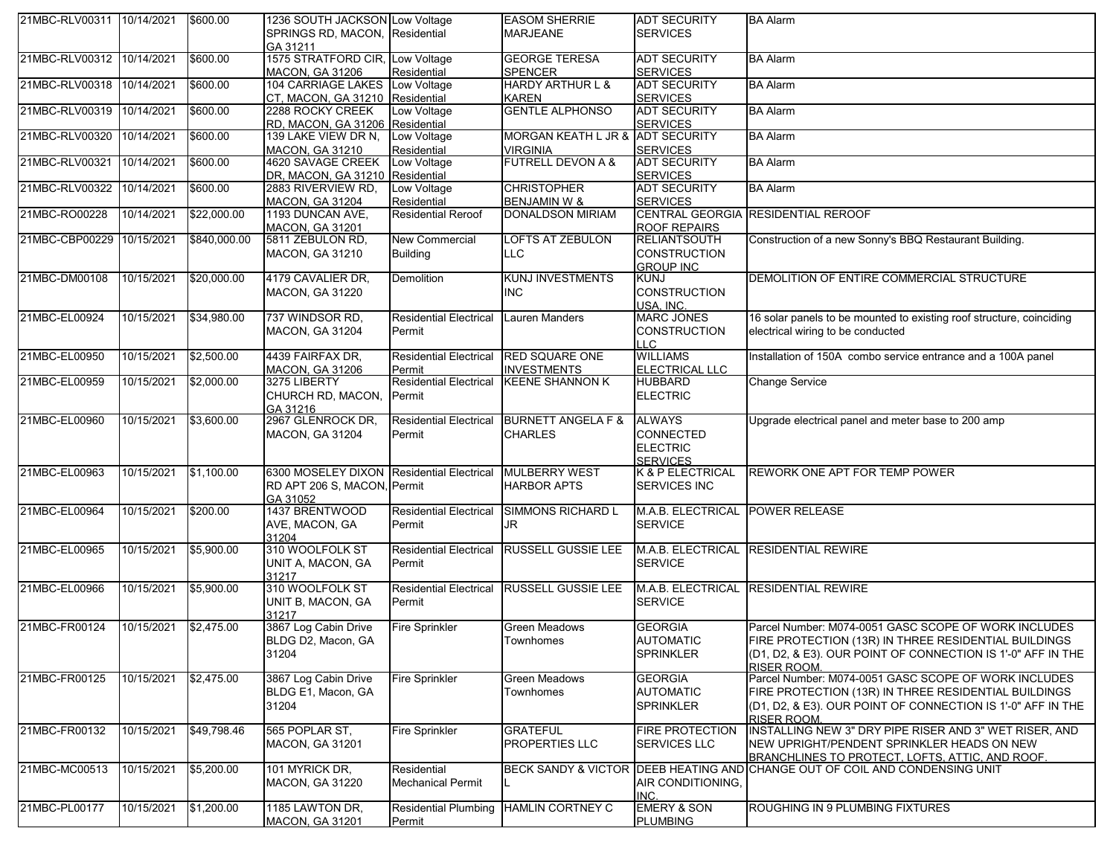| 21MBC-RLV00311 10/14/2021 |            | \$600.00     | 1236 SOUTH JACKSON Low Voltage              |                                         | <b>EASOM SHERRIE</b>                            | <b>ADT SECURITY</b>                    | <b>BA Alarm</b>                                                                                  |
|---------------------------|------------|--------------|---------------------------------------------|-----------------------------------------|-------------------------------------------------|----------------------------------------|--------------------------------------------------------------------------------------------------|
|                           |            |              | SPRINGS RD, MACON, Residential              |                                         | <b>MARJEANE</b>                                 | <b>SERVICES</b>                        |                                                                                                  |
| 21MBC-RLV00312 10/14/2021 |            | \$600.00     | GA 31211<br>1575 STRATFORD CIR, Low Voltage |                                         | <b>GEORGE TERESA</b>                            | <b>ADT SECURITY</b>                    | <b>BA Alarm</b>                                                                                  |
|                           |            |              | <b>MACON, GA 31206</b>                      | Residential                             | <b>SPENCER</b>                                  | <b>SERVICES</b>                        |                                                                                                  |
| 21MBC-RLV00318            | 10/14/2021 | \$600.00     | 104 CARRIAGE LAKES Low Voltage              |                                         | <b>HARDY ARTHUR L &amp;</b>                     | <b>ADT SECURITY</b>                    | <b>BA Alarm</b>                                                                                  |
|                           |            |              | CT, MACON, GA 31210 Residential             |                                         | KAREN                                           | <b>SERVICES</b>                        |                                                                                                  |
| 21MBC-RLV00319 10/14/2021 |            | \$600.00     | 2288 ROCKY CREEK                            | Low Voltage                             | <b>GENTLE ALPHONSO</b>                          | <b>ADT SECURITY</b>                    | <b>BA Alarm</b>                                                                                  |
|                           |            |              | RD, MACON, GA 31206 Residential             |                                         |                                                 | <b>SERVICES</b>                        |                                                                                                  |
| 21MBC-RLV00320            | 10/14/2021 | \$600.00     | 139 LAKE VIEW DR N,                         | Low Voltage                             | MORGAN KEATH L JR & ADT SECURITY                |                                        | <b>BA Alarm</b>                                                                                  |
| 21MBC-RLV00321            | 10/14/2021 | \$600.00     | MACON, GA 31210<br>4620 SAVAGE CREEK        | Residential<br>Low Voltage              | <b>VIRGINIA</b><br><b>FUTRELL DEVON A &amp;</b> | <b>SERVICES</b><br><b>ADT SECURITY</b> | <b>BA Alarm</b>                                                                                  |
|                           |            |              | DR, MACON, GA 31210 Residential             |                                         |                                                 | <b>SERVICES</b>                        |                                                                                                  |
| 21MBC-RLV00322            | 10/14/2021 | \$600.00     | 2883 RIVERVIEW RD,                          | Low Voltage                             | <b>CHRISTOPHER</b>                              | <b>ADT SECURITY</b>                    | <b>BA Alarm</b>                                                                                  |
|                           |            |              | <b>MACON, GA 31204</b>                      | Residential                             | <b>BENJAMIN W &amp;</b>                         | <b>SERVICES</b>                        |                                                                                                  |
| 21MBC-RO00228             | 10/14/2021 | \$22,000.00  | 1193 DUNCAN AVE,                            | <b>Residential Reroof</b>               | <b>DONALDSON MIRIAM</b>                         |                                        | CENTRAL GEORGIA RESIDENTIAL REROOF                                                               |
|                           |            |              | <b>MACON, GA 31201</b>                      |                                         |                                                 | <b>ROOF REPAIRS</b>                    |                                                                                                  |
| 21MBC-CBP00229 10/15/2021 |            | \$840,000.00 | 5811 ZEBULON RD,                            | New Commercial                          | <b>LOFTS AT ZEBULON</b>                         | <b>RELIANTSOUTH</b>                    | Construction of a new Sonny's BBQ Restaurant Building.                                           |
|                           |            |              | <b>MACON, GA 31210</b>                      | <b>Building</b>                         | <b>LLC</b>                                      | <b>CONSTRUCTION</b>                    |                                                                                                  |
| 21MBC-DM00108             | 10/15/2021 | \$20,000.00  | 4179 CAVALIER DR,                           | Demolition                              | <b>KUNJ INVESTMENTS</b>                         | <b>GROUP INC</b><br><b>KUNJ</b>        | DEMOLITION OF ENTIRE COMMERCIAL STRUCTURE                                                        |
|                           |            |              | MACON, GA 31220                             |                                         | INC                                             | <b>CONSTRUCTION</b>                    |                                                                                                  |
|                           |            |              |                                             |                                         |                                                 | USA, INC.                              |                                                                                                  |
| 21MBC-EL00924             | 10/15/2021 | \$34,980.00  | 737 WINDSOR RD,                             | <b>Residential Electrical</b>           | <b>Lauren Manders</b>                           | <b>MARC JONES</b>                      | 16 solar panels to be mounted to existing roof structure, coinciding                             |
|                           |            |              | <b>MACON, GA 31204</b>                      | Permit                                  |                                                 | <b>CONSTRUCTION</b>                    | electrical wiring to be conducted                                                                |
|                           |            |              |                                             |                                         |                                                 | LLC                                    |                                                                                                  |
| 21MBC-EL00950             | 10/15/2021 | \$2,500.00   | 4439 FAIRFAX DR.                            | <b>Residential Electrical</b>           | <b>RED SQUARE ONE</b><br><b>INVESTMENTS</b>     | <b>WILLIAMS</b>                        | Installation of 150A combo service entrance and a 100A panel                                     |
| 21MBC-EL00959             | 10/15/2021 | \$2,000.00   | <b>MACON, GA 31206</b><br>3275 LIBERTY      | Permit<br><b>Residential Electrical</b> | <b>KEENE SHANNON K</b>                          | ELECTRICAL LLC<br><b>HUBBARD</b>       | <b>Change Service</b>                                                                            |
|                           |            |              | CHURCH RD, MACON, Permit                    |                                         |                                                 | <b>ELECTRIC</b>                        |                                                                                                  |
|                           |            |              | GA 31216                                    |                                         |                                                 |                                        |                                                                                                  |
| 21MBC-EL00960             | 10/15/2021 | \$3,600.00   | 2967 GLENROCK DR,                           | <b>Residential Electrical</b>           | <b>BURNETT ANGELA F &amp;</b>                   | <b>ALWAYS</b>                          | Upgrade electrical panel and meter base to 200 amp                                               |
|                           |            |              | <b>MACON, GA 31204</b>                      | Permit                                  | <b>CHARLES</b>                                  | <b>CONNECTED</b>                       |                                                                                                  |
|                           |            |              |                                             |                                         |                                                 | <b>ELECTRIC</b>                        |                                                                                                  |
| 21MBC-EL00963             | 10/15/2021 | \$1,100.00   | 6300 MOSELEY DIXON Residential Electrical   |                                         | <b>MULBERRY WEST</b>                            | <b>SERVICES</b><br>K & P ELECTRICAL    | REWORK ONE APT FOR TEMP POWER                                                                    |
|                           |            |              | RD APT 206 S, MACON, Permit                 |                                         | <b>HARBOR APTS</b>                              | <b>SERVICES INC</b>                    |                                                                                                  |
|                           |            |              | GA 31052                                    |                                         |                                                 |                                        |                                                                                                  |
| 21MBC-EL00964             | 10/15/2021 | \$200.00     | 1437 BRENTWOOD                              | <b>Residential Electrical</b>           | <b>SIMMONS RICHARD L</b>                        | M.A.B. ELECTRICAL POWER RELEASE        |                                                                                                  |
|                           |            |              | AVE, MACON, GA                              | Permit                                  | JR                                              | <b>SERVICE</b>                         |                                                                                                  |
|                           |            |              | 31204                                       |                                         |                                                 |                                        |                                                                                                  |
| 21MBC-EL00965             | 10/15/2021 | \$5,900.00   | 310 WOOLFOLK ST                             | <b>Residential Electrical</b>           | <b>RUSSELL GUSSIE LEE</b>                       |                                        | M.A.B. ELECTRICAL RESIDENTIAL REWIRE                                                             |
|                           |            |              | UNIT A, MACON, GA<br>31217                  | Permit                                  |                                                 | <b>SERVICE</b>                         |                                                                                                  |
| 21MBC-EL00966             | 10/15/2021 | \$5,900.00   | 310 WOOLFOLK ST                             | <b>Residential Electrical</b>           | <b>RUSSELL GUSSIE LEE</b>                       |                                        | M.A.B. ELECTRICAL RESIDENTIAL REWIRE                                                             |
|                           |            |              | UNIT B, MACON, GA                           | Permit                                  |                                                 | <b>SERVICE</b>                         |                                                                                                  |
|                           |            |              | 31217                                       |                                         |                                                 |                                        |                                                                                                  |
| 21MBC-FR00124             | 10/15/2021 | \$2,475.00   | 3867 Log Cabin Drive                        | <b>Fire Sprinkler</b>                   | Green Meadows                                   | <b>GEORGIA</b>                         | Parcel Number: M074-0051 GASC SCOPE OF WORK INCLUDES                                             |
|                           |            |              | BLDG D2, Macon, GA                          |                                         | Townhomes                                       | <b>AUTOMATIC</b>                       | FIRE PROTECTION (13R) IN THREE RESIDENTIAL BUILDINGS                                             |
|                           |            |              | 31204                                       |                                         |                                                 | <b>SPRINKLER</b>                       | (D1, D2, & E3). OUR POINT OF CONNECTION IS 1'-0" AFF IN THE                                      |
| 21MBC-FR00125             | 10/15/2021 | \$2,475.00   | 3867 Log Cabin Drive                        | <b>Fire Sprinkler</b>                   | <b>Green Meadows</b>                            | <b>GEORGIA</b>                         | RISER ROOM.<br>Parcel Number: M074-0051 GASC SCOPE OF WORK INCLUDES                              |
|                           |            |              | BLDG E1, Macon, GA                          |                                         | Townhomes                                       | <b>AUTOMATIC</b>                       | FIRE PROTECTION (13R) IN THREE RESIDENTIAL BUILDINGS                                             |
|                           |            |              | 31204                                       |                                         |                                                 | <b>SPRINKLER</b>                       | (D1, D2, & E3). OUR POINT OF CONNECTION IS 1'-0" AFF IN THE                                      |
|                           |            |              |                                             |                                         |                                                 |                                        | <b>RISER ROOM.</b>                                                                               |
| 21MBC-FR00132             | 10/15/2021 | \$49,798.46  | 565 POPLAR ST,                              | <b>Fire Sprinkler</b>                   | <b>GRATEFUL</b>                                 | <b>FIRE PROTECTION</b>                 | INSTALLING NEW 3" DRY PIPE RISER AND 3" WET RISER, AND                                           |
|                           |            |              | <b>MACON, GA 31201</b>                      |                                         | PROPERTIES LLC                                  | <b>SERVICES LLC</b>                    | NEW UPRIGHT/PENDENT SPRINKLER HEADS ON NEW                                                       |
| 21MBC-MC00513             | 10/15/2021 | \$5,200.00   | 101 MYRICK DR.                              | Residential                             | BECK SANDY & VICTOR DEEB HEATING AND            |                                        | BRANCHLINES TO PROTECT. LOFTS. ATTIC. AND ROOF.<br><b>CHANGE OUT OF COIL AND CONDENSING UNIT</b> |
|                           |            |              | <b>MACON, GA 31220</b>                      | <b>Mechanical Permit</b>                |                                                 | AIR CONDITIONING,                      |                                                                                                  |
|                           |            |              |                                             |                                         |                                                 | INC.                                   |                                                                                                  |
| 21MBC-PL00177             | 10/15/2021 | \$1,200.00   | 1185 LAWTON DR,                             | <b>Residential Plumbing</b>             | <b>HAMLIN CORTNEY C</b>                         | <b>EMERY &amp; SON</b>                 | ROUGHING IN 9 PLUMBING FIXTURES                                                                  |
|                           |            |              | <b>MACON, GA 31201</b>                      | Permit                                  |                                                 | <b>PLUMBING</b>                        |                                                                                                  |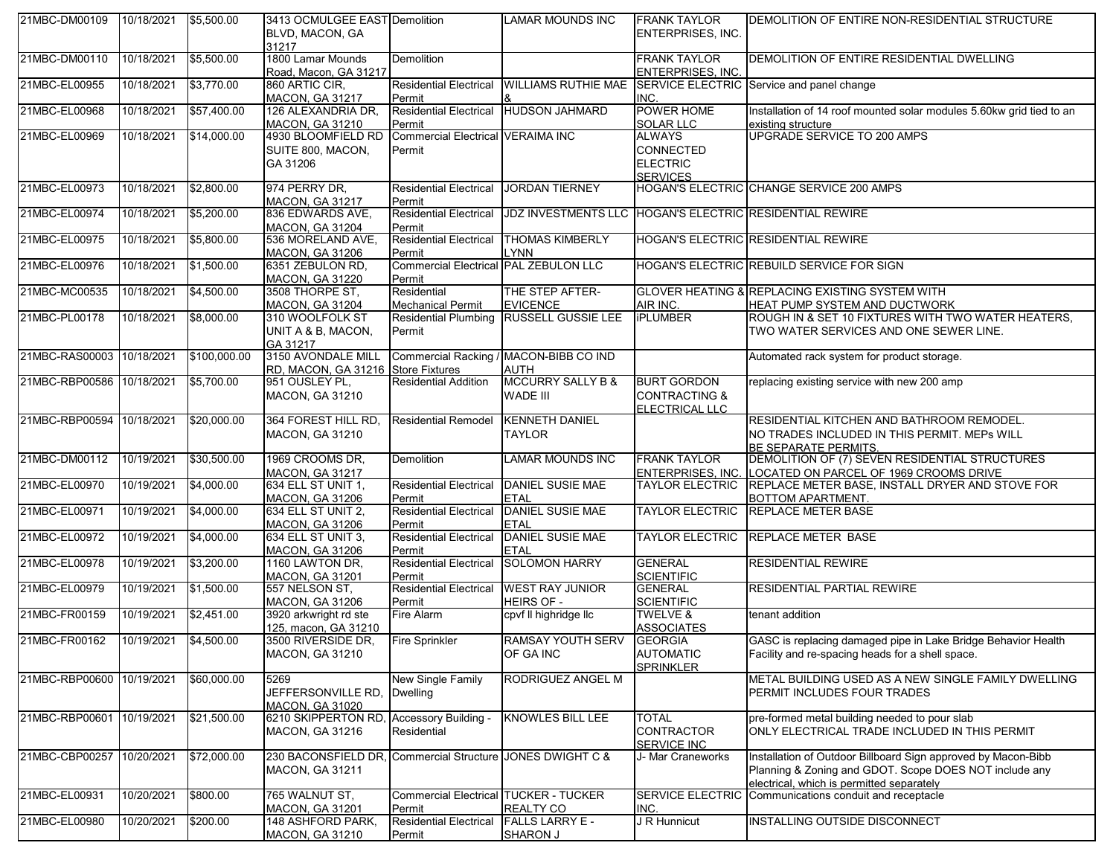| 21MBC-DM00109             | 10/18/2021            | \$5,500.00   | 3413 OCMULGEE EAST Demolition<br>BLVD, MACON, GA<br>31217                           |                                                        | <b>LAMAR MOUNDS INC</b>                                 | <b>FRANK TAYLOR</b><br>ENTERPRISES, INC.                         | DEMOLITION OF ENTIRE NON-RESIDENTIAL STRUCTURE                                                                                                                       |
|---------------------------|-----------------------|--------------|-------------------------------------------------------------------------------------|--------------------------------------------------------|---------------------------------------------------------|------------------------------------------------------------------|----------------------------------------------------------------------------------------------------------------------------------------------------------------------|
| 21MBC-DM00110             | 10/18/2021            | \$5,500.00   | 1800 Lamar Mounds<br>Road, Macon, GA 31217                                          | <b>Demolition</b>                                      |                                                         | <b>FRANK TAYLOR</b><br><b>ENTERPRISES, INC.</b>                  | DEMOLITION OF ENTIRE RESIDENTIAL DWELLING                                                                                                                            |
| 21MBC-EL00955             | 10/18/2021            | \$3,770.00   | 860 ARTIC CIR,<br><b>MACON, GA 31217</b>                                            | <b>Residential Electrical</b><br>Permit                | <b>WILLIAMS RUTHIE MAE</b>                              | INC.                                                             | SERVICE ELECTRIC Service and panel change                                                                                                                            |
| 21MBC-EL00968             | 10/18/2021            | \$57,400.00  | 126 ALEXANDRIA DR,<br><b>MACON, GA 31210</b>                                        | <b>Residential Electrical</b><br>Permit                | <b>HUDSON JAHMARD</b>                                   | POWER HOME<br>SOLAR LLC                                          | Installation of 14 roof mounted solar modules 5.60kw grid tied to an<br>existing structure                                                                           |
| 21MBC-EL00969             | 10/18/2021            | \$14,000.00  | 4930 BLOOMFIELD RD<br>SUITE 800, MACON,<br>GA 31206                                 | Commercial Electrical VERAIMA INC<br>Permit            |                                                         | <b>ALWAYS</b><br>CONNECTED<br><b>ELECTRIC</b><br><b>SERVICES</b> | UPGRADE SERVICE TO 200 AMPS                                                                                                                                          |
| 21MBC-EL00973             | 10/18/2021            | \$2,800.00   | 974 PERRY DR,<br><b>MACON, GA 31217</b>                                             | <b>Residential Electrical</b><br>Permit                | <b>JORDAN TIERNEY</b>                                   |                                                                  | HOGAN'S ELECTRIC CHANGE SERVICE 200 AMPS                                                                                                                             |
| 21MBC-EL00974             | 10/18/2021            | \$5,200.00   | 836 EDWARDS AVE,<br><b>MACON, GA 31204</b>                                          | <b>Residential Electrical</b><br>Permit                | JDZ INVESTMENTS LLC HOGAN'S ELECTRIC RESIDENTIAL REWIRE |                                                                  |                                                                                                                                                                      |
| 21MBC-EL00975             | 10/18/2021            | \$5,800.00   | 536 MORELAND AVE,<br><b>MACON, GA 31206</b>                                         | <b>Residential Electrical</b><br>Permit                | <b>THOMAS KIMBERLY</b><br><b>LYNN</b>                   |                                                                  | HOGAN'S ELECTRIC RESIDENTIAL REWIRE                                                                                                                                  |
| 21MBC-EL00976             | 10/18/2021            | \$1,500.00   | 6351 ZEBULON RD,<br><b>MACON, GA 31220</b>                                          | <b>Commercial Electrical PAL ZEBULON LLC</b><br>Permit |                                                         |                                                                  | HOGAN'S ELECTRIC REBUILD SERVICE FOR SIGN                                                                                                                            |
| 21MBC-MC00535             | 10/18/2021            | \$4,500.00   | 3508 THORPE ST,<br><b>MACON, GA 31204</b>                                           | Residential<br><b>Mechanical Permit</b>                | THE STEP AFTER-<br><b>EVICENCE</b>                      | AIR INC.                                                         | GLOVER HEATING & REPLACING EXISTING SYSTEM WITH<br>HEAT PUMP SYSTEM AND DUCTWORK                                                                                     |
| 21MBC-PL00178             | 10/18/2021            | \$8,000.00   | 310 WOOLFOLK ST<br>UNIT A & B, MACON,<br>GA 31217                                   | <b>Residential Plumbing</b><br>Permit                  | <b>RUSSELL GUSSIE LEE</b>                               | <b>iPLUMBER</b>                                                  | ROUGH IN & SET 10 FIXTURES WITH TWO WATER HEATERS,<br>TWO WATER SERVICES AND ONE SEWER LINE.                                                                         |
| 21MBC-RAS00003 10/18/2021 |                       | \$100,000.00 | 3150 AVONDALE MILL<br>RD, MACON, GA 31216 Store Fixtures                            |                                                        | Commercial Racking / MACON-BIBB CO IND<br><b>AUTH</b>   |                                                                  | Automated rack system for product storage.                                                                                                                           |
| 21MBC-RBP00586 10/18/2021 |                       | \$5,700.00   | 951 OUSLEY PL,<br>MACON, GA 31210                                                   | <b>Residential Addition</b>                            | <b>MCCURRY SALLY B &amp;</b><br><b>WADE III</b>         | <b>BURT GORDON</b><br><b>CONTRACTING &amp;</b><br>ELECTRICAL LLC | replacing existing service with new 200 amp                                                                                                                          |
| 21MBC-RBP00594            | 10/18/2021            | \$20,000.00  | 364 FOREST HILL RD,<br><b>MACON, GA 31210</b>                                       | <b>Residential Remodel</b>                             | <b>KENNETH DANIEL</b><br>TAYLOR                         |                                                                  | RESIDENTIAL KITCHEN AND BATHROOM REMODEL.<br>NO TRADES INCLUDED IN THIS PERMIT. MEPS WILL<br>BE SEPARATE PERMITS.                                                    |
| 21MBC-DM00112             | 10/19/2021            | \$30,500.00  | 1969 CROOMS DR,<br><b>MACON, GA 31217</b>                                           | <b>Demolition</b>                                      | <b>LAMAR MOUNDS INC</b>                                 | <b>FRANK TAYLOR</b><br><b>ENTERPRISES, INC.</b>                  | DEMOLITION OF (7) SEVEN RESIDENTIAL STRUCTURES<br>LOCATED ON PARCEL OF 1969 CROOMS DRIVE                                                                             |
| 21MBC-EL00970             | 10/19/2021            | \$4,000.00   | 634 ELL ST UNIT 1,<br><b>MACON, GA 31206</b>                                        | <b>Residential Electrical</b><br>Permit                | <b>DANIEL SUSIE MAE</b><br><b>ETAL</b>                  | <b>TAYLOR ELECTRIC</b>                                           | REPLACE METER BASE, INSTALL DRYER AND STOVE FOR<br>BOTTOM APARTMENT.                                                                                                 |
| 21MBC-EL00971             | 10/19/2021            | \$4,000.00   | 634 ELL ST UNIT 2,<br><b>MACON, GA 31206</b>                                        | <b>Residential Electrical</b><br>Permit                | <b>DANIEL SUSIE MAE</b><br><b>ETAL</b>                  | <b>TAYLOR ELECTRIC</b>                                           | <b>REPLACE METER BASE</b>                                                                                                                                            |
| 21MBC-EL00972             | 10/19/2021            | \$4,000.00   | 634 ELL ST UNIT 3,<br><b>MACON, GA 31206</b>                                        | <b>Residential Electrical</b><br>Permit                | <b>DANIEL SUSIE MAE</b><br><b>ETAL</b>                  | <b>TAYLOR ELECTRIC</b>                                           | REPLACE METER BASE                                                                                                                                                   |
| 21MBC-EL00978             | 10/19/2021            | \$3,200.00   | 1160 LAWTON DR,<br><b>MACON, GA 31201</b>                                           | <b>Residential Electrical</b><br>Permit                | <b>SOLOMON HARRY</b>                                    | <b>GENERAL</b><br><b>SCIENTIFIC</b>                              | <b>RESIDENTIAL REWIRE</b>                                                                                                                                            |
| 21MBC-EL00979             | 10/19/2021            | \$1,500.00   | 557 NELSON ST,<br><b>MACON, GA 31206</b>                                            | <b>Residential Electrical</b><br>Permit                | <b>WEST RAY JUNIOR</b><br><b>HEIRS OF -</b>             | <b>GENERAL</b><br><b>SCIENTIFIC</b>                              | <b>RESIDENTIAL PARTIAL REWIRE</b>                                                                                                                                    |
| 21MBC-FR00159             | 10/19/2021            | \$2,451.00   | 3920 arkwright rd ste<br>125, macon, GA 31210                                       | Fire Alarm                                             | cpvf II highridge IIc                                   | <b>TWELVE &amp;</b><br><b>ASSOCIATES</b>                         | tenant addition                                                                                                                                                      |
| 21MBC-FR00162             | 10/19/2021 \$4,500.00 |              | 3500 RIVERSIDE DR,<br><b>MACON, GA 31210</b>                                        | <b>Fire Sprinkler</b>                                  | <b>RAMSAY YOUTH SERV</b><br>OF GA INC                   | GEORGIA<br><b>AUTOMATIC</b><br><b>SPRINKLER</b>                  | GASC is replacing damaged pipe in Lake Bridge Behavior Health<br>Facility and re-spacing heads for a shell space.                                                    |
| 21MBC-RBP00600 10/19/2021 |                       | \$60,000.00  | 5269<br>JEFFERSONVILLE RD.<br>MACON, GA 31020                                       | New Single Family<br><b>Dwelling</b>                   | RODRIGUEZ ANGEL M                                       |                                                                  | METAL BUILDING USED AS A NEW SINGLE FAMILY DWELLING<br>PERMIT INCLUDES FOUR TRADES                                                                                   |
| 21MBC-RBP00601            | 10/19/2021            | \$21,500.00  | 6210 SKIPPERTON RD, Accessory Building -<br><b>MACON, GA 31216</b>                  | Residential                                            | <b>KNOWLES BILL LEE</b>                                 | <b>TOTAL</b><br><b>CONTRACTOR</b><br>SERVICE INC                 | pre-formed metal building needed to pour slab<br>ONLY ELECTRICAL TRADE INCLUDED IN THIS PERMIT                                                                       |
| 21MBC-CBP00257 10/20/2021 |                       | \$72,000.00  | 230 BACONSFIELD DR, Commercial Structure JONES DWIGHT C &<br><b>MACON, GA 31211</b> |                                                        |                                                         | J- Mar Craneworks                                                | Installation of Outdoor Billboard Sign approved by Macon-Bibb<br>Planning & Zoning and GDOT. Scope DOES NOT include any<br>electrical, which is permitted separately |
| 21MBC-EL00931             | 10/20/2021            | \$800.00     | 765 WALNUT ST.<br>MACON, GA 31201                                                   | Commercial Electrical TUCKER - TUCKER<br>Permit        | <b>REALTY CO</b>                                        | SERVICE ELECTRIC<br>INC.                                         | Communications conduit and receptacle                                                                                                                                |
| 21MBC-EL00980             | 10/20/2021            | \$200.00     | 148 ASHFORD PARK.<br><b>MACON, GA 31210</b>                                         | <b>Residential Electrical</b><br>Permit                | <b>FALLS LARRY E -</b><br><b>SHARON J</b>               | J R Hunnicut                                                     | <b>INSTALLING OUTSIDE DISCONNECT</b>                                                                                                                                 |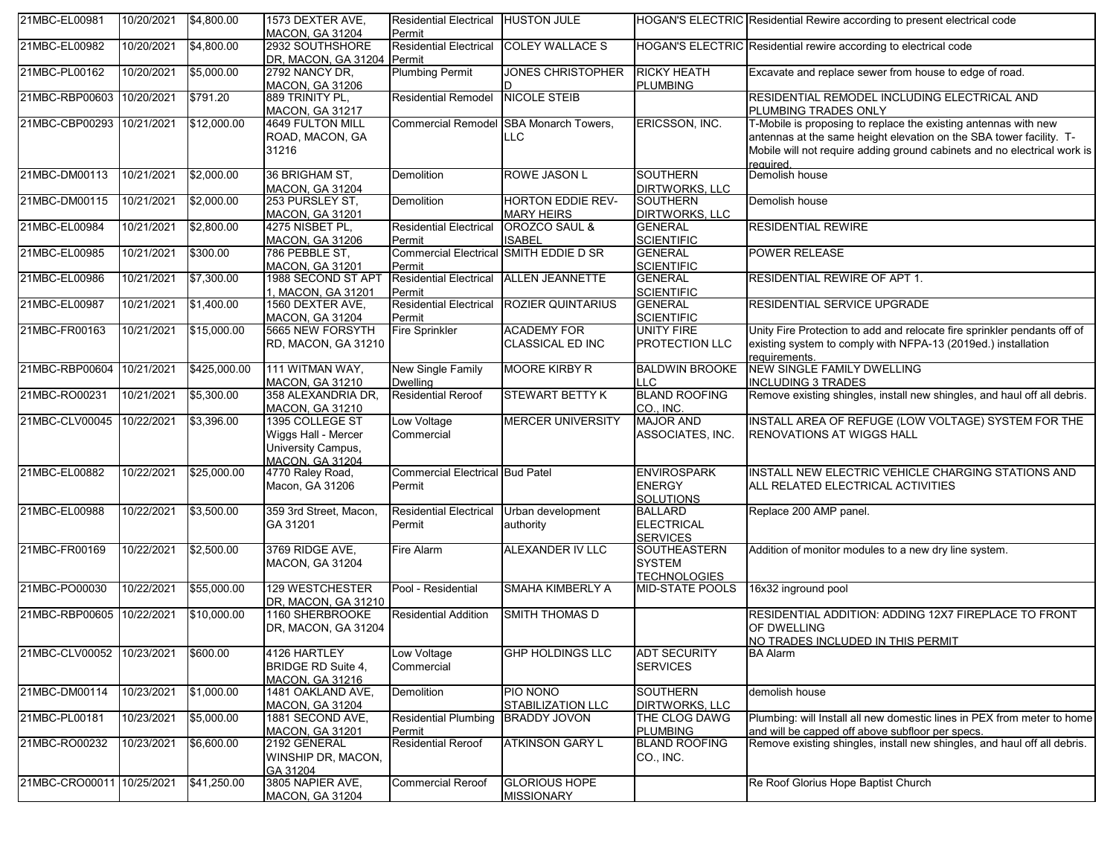| 21MBC-EL00981             | 10/20/2021 | \$4,800.00   | 1573 DEXTER AVE,<br><b>MACON, GA 31204</b>                                             | <b>Residential Electrical</b><br>Permit          | <b>HUSTON JULE</b>                                   |                                                         | HOGAN'S ELECTRIC Residential Rewire according to present electrical code                                                                                                                                                        |
|---------------------------|------------|--------------|----------------------------------------------------------------------------------------|--------------------------------------------------|------------------------------------------------------|---------------------------------------------------------|---------------------------------------------------------------------------------------------------------------------------------------------------------------------------------------------------------------------------------|
| 21MBC-EL00982             | 10/20/2021 | \$4,800.00   | 2932 SOUTHSHORE<br>DR, MACON, GA 31204 Permit                                          | <b>Residential Electrical</b>                    | <b>COLEY WALLACE S</b>                               |                                                         | HOGAN'S ELECTRIC Residential rewire according to electrical code                                                                                                                                                                |
| 21MBC-PL00162             | 10/20/2021 | \$5,000.00   | 2792 NANCY DR.<br><b>MACON, GA 31206</b>                                               | <b>Plumbing Permit</b>                           | <b>JONES CHRISTOPHER</b><br>ID                       | <b>RICKY HEATH</b><br><b>PLUMBING</b>                   | Excavate and replace sewer from house to edge of road.                                                                                                                                                                          |
| 21MBC-RBP00603 10/20/2021 |            | \$791.20     | 889 TRINITY PL,<br>MACON, GA 31217                                                     | <b>Residential Remodel</b>                       | <b>NICOLE STEIB</b>                                  |                                                         | RESIDENTIAL REMODEL INCLUDING ELECTRICAL AND<br>PLUMBING TRADES ONLY                                                                                                                                                            |
| 21MBC-CBP00293            | 10/21/2021 | \$12,000.00  | 4649 FULTON MILL<br>ROAD, MACON, GA<br>31216                                           |                                                  | Commercial Remodel SBA Monarch Towers,<br><b>LLC</b> | ERICSSON, INC.                                          | T-Mobile is proposing to replace the existing antennas with new<br>antennas at the same height elevation on the SBA tower facility. T-<br>Mobile will not require adding ground cabinets and no electrical work is<br>reauired. |
| 21MBC-DM00113             | 10/21/2021 | \$2,000.00   | 36 BRIGHAM ST,<br><b>MACON, GA 31204</b>                                               | <b>Demolition</b>                                | <b>ROWE JASON L</b>                                  | <b>SOUTHERN</b><br><b>DIRTWORKS, LLC</b>                | Demolish house                                                                                                                                                                                                                  |
| 21MBC-DM00115             | 10/21/2021 | \$2,000.00   | 253 PURSLEY ST.<br><b>MACON, GA 31201</b>                                              | <b>Demolition</b>                                | <b>HORTON EDDIE REV-</b><br><b>MARY HEIRS</b>        | <b>SOUTHERN</b><br><b>DIRTWORKS, LLC</b>                | Demolish house                                                                                                                                                                                                                  |
| 21MBC-EL00984             | 10/21/2021 | \$2,800.00   | 4275 NISBET PL,<br><b>MACON, GA 31206</b>                                              | <b>Residential Electrical</b><br>Permit          | OROZCO SAUL &<br><b>ISABEL</b>                       | <b>GENERAL</b><br><b>SCIENTIFIC</b>                     | <b>RESIDENTIAL REWIRE</b>                                                                                                                                                                                                       |
| 21MBC-EL00985             | 10/21/2021 | \$300.00     | 786 PEBBLE ST,<br><b>MACON, GA 31201</b>                                               | <b>Commercial Electrical</b><br>Permit           | SMITH EDDIE D SR                                     | <b>GENERAL</b><br><b>SCIENTIFIC</b>                     | <b>POWER RELEASE</b>                                                                                                                                                                                                            |
| 21MBC-EL00986             | 10/21/2021 | \$7,300.00   | 1988 SECOND ST APT<br>1, MACON, GA 31201                                               | <b>Residential Electrical</b><br>Permit          | <b>ALLEN JEANNETTE</b>                               | <b>GENERAL</b><br><b>SCIENTIFIC</b>                     | RESIDENTIAL REWIRE OF APT 1.                                                                                                                                                                                                    |
| 21MBC-EL00987             | 10/21/2021 | \$1,400.00   | 1560 DEXTER AVE,<br><b>MACON, GA 31204</b>                                             | <b>Residential Electrical</b><br>Permit          | <b>ROZIER QUINTARIUS</b>                             | <b>GENERAL</b><br><b>SCIENTIFIC</b>                     | RESIDENTIAL SERVICE UPGRADE                                                                                                                                                                                                     |
| 21MBC-FR00163             | 10/21/2021 | \$15,000.00  | 5665 NEW FORSYTH<br>RD, MACON, GA 31210                                                | <b>Fire Sprinkler</b>                            | <b>ACADEMY FOR</b><br><b>CLASSICAL ED INC</b>        | <b>UNITY FIRE</b><br>PROTECTION LLC                     | Unity Fire Protection to add and relocate fire sprinkler pendants off of<br>existing system to comply with NFPA-13 (2019ed.) installation<br>requirements.                                                                      |
| 21MBC-RBP00604 10/21/2021 |            | \$425,000.00 | 111 WITMAN WAY,<br><b>MACON, GA 31210</b>                                              | New Single Family<br><b>Dwelling</b>             | <b>MOORE KIRBY R</b>                                 | <b>BALDWIN BROOKE</b><br><b>LLC</b>                     | <b>NEW SINGLE FAMILY DWELLING</b><br><b>INCLUDING 3 TRADES</b>                                                                                                                                                                  |
| 21MBC-RO00231             | 10/21/2021 | \$5,300.00   | 358 ALEXANDRIA DR,<br><b>MACON, GA 31210</b>                                           | <b>Residential Reroof</b>                        | <b>STEWART BETTY K</b>                               | <b>BLAND ROOFING</b><br>CO., INC.                       | Remove existing shingles, install new shingles, and haul off all debris.                                                                                                                                                        |
| 21MBC-CLV00045            | 10/22/2021 | \$3,396.00   | 1395 COLLEGE ST<br>Wiggs Hall - Mercer<br>University Campus,<br><b>MACON, GA 31204</b> | Low Voltage<br>Commercial                        | <b>MERCER UNIVERSITY</b>                             | <b>MAJOR AND</b><br>ASSOCIATES, INC.                    | INSTALL AREA OF REFUGE (LOW VOLTAGE) SYSTEM FOR THE<br><b>RENOVATIONS AT WIGGS HALL</b>                                                                                                                                         |
| 21MBC-EL00882             | 10/22/2021 | \$25,000.00  | 4770 Raley Road,<br>Macon, GA 31206                                                    | <b>Commercial Electrical Bud Patel</b><br>Permit |                                                      | <b>ENVIROSPARK</b><br><b>ENERGY</b><br><b>SOLUTIONS</b> | INSTALL NEW ELECTRIC VEHICLE CHARGING STATIONS AND<br>ALL RELATED ELECTRICAL ACTIVITIES                                                                                                                                         |
| 21MBC-EL00988             | 10/22/2021 | \$3,500.00   | 359 3rd Street, Macon,<br>GA 31201                                                     | <b>Residential Electrical</b><br>Permit          | Urban development<br>authority                       | <b>BALLARD</b><br><b>ELECTRICAL</b><br><b>SERVICES</b>  | Replace 200 AMP panel.                                                                                                                                                                                                          |
| 21MBC-FR00169             | 10/22/2021 | \$2,500.00   | 3769 RIDGE AVE,<br><b>MACON, GA 31204</b>                                              | Fire Alarm                                       | <b>ALEXANDER IV LLC</b>                              | SOUTHEASTERN<br><b>SYSTEM</b><br><b>TECHNOLOGIES</b>    | Addition of monitor modules to a new dry line system.                                                                                                                                                                           |
| 21MBC-PO00030             | 10/22/2021 | \$55,000.00  | 129 WESTCHESTER<br>DR, MACON, GA 31210                                                 | Pool - Residential                               | SMAHA KIMBERLY A                                     | <b>MID-STATE POOLS</b>                                  | 16x32 inground pool                                                                                                                                                                                                             |
| 21MBC-RBP00605 10/22/2021 |            | \$10,000.00  | 1160 SHERBROOKE<br>DR, MACON, GA 31204                                                 | <b>Residential Addition</b>                      | <b>SMITH THOMAS D</b>                                |                                                         | RESIDENTIAL ADDITION: ADDING 12X7 FIREPLACE TO FRONT<br>OF DWELLING<br>NO TRADES INCLUDED IN THIS PERMIT                                                                                                                        |
| 21MBC-CLV00052 10/23/2021 |            | \$600.00     | 4126 HARTLEY<br>BRIDGE RD Suite 4,<br><b>MACON, GA 31216</b>                           | Low Voltage<br>Commercial                        | <b>GHP HOLDINGS LLC</b>                              | <b>ADT SECURITY</b><br><b>SERVICES</b>                  | <b>BA Alarm</b>                                                                                                                                                                                                                 |
| 21MBC-DM00114             | 10/23/2021 | \$1,000.00   | 1481 OAKLAND AVE,<br>MACON, GA 31204                                                   | Demolition                                       | PIO NONO<br><b>STABILIZATION LLC</b>                 | <b>SOUTHERN</b><br><b>DIRTWORKS, LLC</b>                | demolish house                                                                                                                                                                                                                  |
| 21MBC-PL00181             | 10/23/2021 | \$5,000.00   | 1881 SECOND AVE,<br><b>MACON, GA 31201</b>                                             | <b>Residential Plumbing</b><br>Permit            | <b>BRADDY JOVON</b>                                  | THE CLOG DAWG<br><b>PLUMBING</b>                        | Plumbing: will Install all new domestic lines in PEX from meter to home<br>and will be capped off above subfloor per specs.                                                                                                     |
| 21MBC-RO00232             | 10/23/2021 | \$6,600.00   | 2192 GENERAL<br>WINSHIP DR, MACON,<br>GA 31204                                         | <b>Residential Reroof</b>                        | ATKINSON GARY L                                      | <b>BLAND ROOFING</b><br>CO., INC.                       | Remove existing shingles, install new shingles, and haul off all debris.                                                                                                                                                        |
| 21MBC-CRO00011 10/25/2021 |            | \$41,250.00  | 3805 NAPIER AVE,<br><b>MACON, GA 31204</b>                                             | <b>Commercial Reroof</b>                         | <b>GLORIOUS HOPE</b><br><b>MISSIONARY</b>            |                                                         | Re Roof Glorius Hope Baptist Church                                                                                                                                                                                             |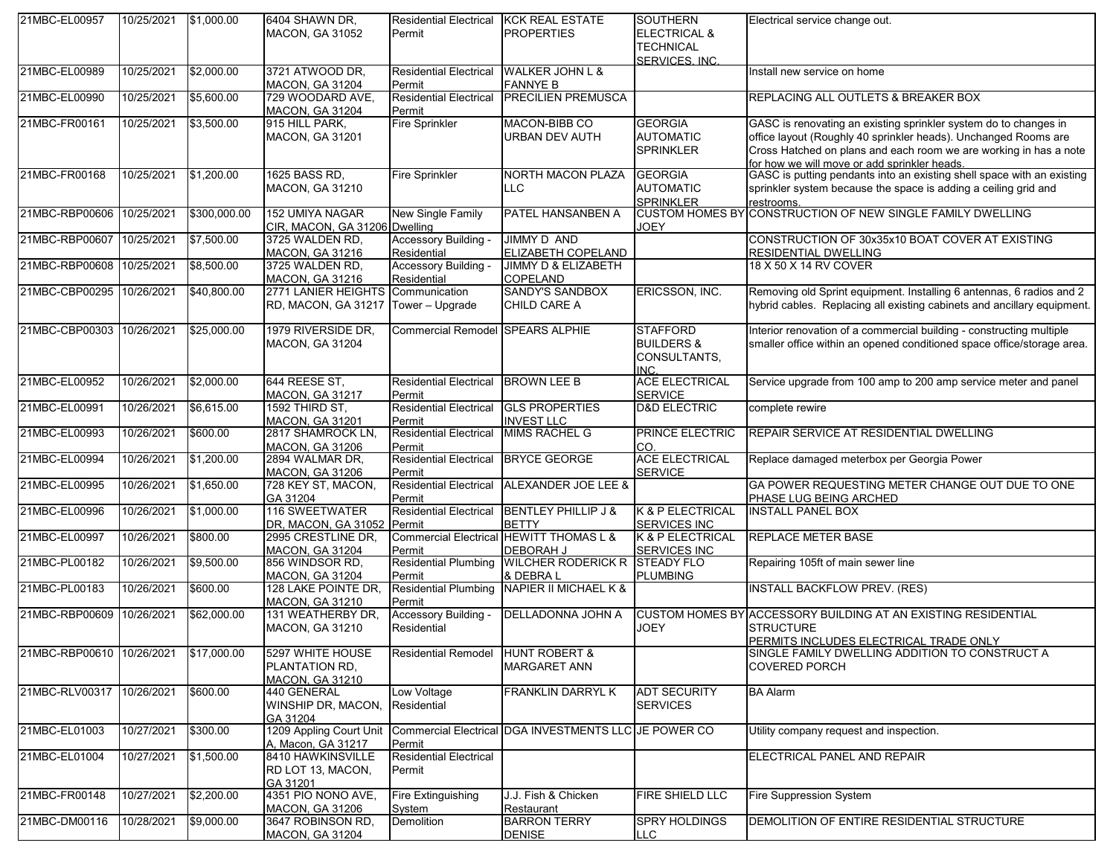| 21MBC-EL00957             | 10/25/2021 | \$1,000.00   | 6404 SHAWN DR,<br><b>MACON, GA 31052</b>                                 | <b>Residential Electrical</b><br>Permit | <b>KCK REAL ESTATE</b><br><b>PROPERTIES</b>                 | <b>SOUTHERN</b><br><b>ELECTRICAL &amp;</b><br><b>TECHNICAL</b><br>SERVICES, INC. | Electrical service change out.                                                                                                                                                                                                                           |
|---------------------------|------------|--------------|--------------------------------------------------------------------------|-----------------------------------------|-------------------------------------------------------------|----------------------------------------------------------------------------------|----------------------------------------------------------------------------------------------------------------------------------------------------------------------------------------------------------------------------------------------------------|
| 21MBC-EL00989             | 10/25/2021 | \$2,000.00   | 3721 ATWOOD DR.<br><b>MACON, GA 31204</b>                                | <b>Residential Electrical</b><br>Permit | <b>WALKER JOHN L &amp;</b><br><b>FANNYE B</b>               |                                                                                  | Install new service on home                                                                                                                                                                                                                              |
| 21MBC-EL00990             | 10/25/2021 | \$5,600.00   | 729 WOODARD AVE,<br><b>MACON, GA 31204</b>                               | <b>Residential Electrical</b><br>Permit | <b>PRECILIEN PREMUSCA</b>                                   |                                                                                  | REPLACING ALL OUTLETS & BREAKER BOX                                                                                                                                                                                                                      |
| 21MBC-FR00161             | 10/25/2021 | \$3,500.00   | 915 HILL PARK,<br><b>MACON, GA 31201</b>                                 | <b>Fire Sprinkler</b>                   | MACON-BIBB CO<br>URBAN DEV AUTH                             | <b>GEORGIA</b><br><b>AUTOMATIC</b><br><b>SPRINKLER</b>                           | GASC is renovating an existing sprinkler system do to changes in<br>office layout (Roughly 40 sprinkler heads). Unchanged Rooms are<br>Cross Hatched on plans and each room we are working in has a note<br>for how we will move or add sprinkler heads. |
| 21MBC-FR00168             | 10/25/2021 | \$1,200.00   | 1625 BASS RD,<br><b>MACON, GA 31210</b>                                  | <b>Fire Sprinkler</b>                   | <b>NORTH MACON PLAZA</b><br>LLC                             | <b>GEORGIA</b><br><b>AUTOMATIC</b><br><b>SPRINKLER</b>                           | GASC is putting pendants into an existing shell space with an existing<br>sprinkler system because the space is adding a ceiling grid and<br>restrooms.                                                                                                  |
| 21MBC-RBP00606 10/25/2021 |            | \$300,000.00 | 152 UMIYA NAGAR<br>CIR, MACON, GA 31206 Dwelling                         | New Single Family                       | PATEL HANSANBEN A                                           | <b>JOEY</b>                                                                      | CUSTOM HOMES BY CONSTRUCTION OF NEW SINGLE FAMILY DWELLING                                                                                                                                                                                               |
| 21MBC-RBP00607            | 10/25/2021 | \$7,500.00   | 3725 WALDEN RD,<br><b>MACON, GA 31216</b>                                | Accessory Building -<br>Residential     | <b>JIMMY D AND</b><br>ELIZABETH COPELAND                    |                                                                                  | CONSTRUCTION OF 30x35x10 BOAT COVER AT EXISTING<br><b>RESIDENTIAL DWELLING</b>                                                                                                                                                                           |
| 21MBC-RBP00608 10/25/2021 |            | \$8,500.00   | 3725 WALDEN RD,<br><b>MACON, GA 31216</b>                                | Accessory Building -<br>Residential     | <b>JIMMY D &amp; ELIZABETH</b><br><b>COPELAND</b>           |                                                                                  | 18 X 50 X 14 RV COVER                                                                                                                                                                                                                                    |
| 21MBC-CBP00295 10/26/2021 |            | \$40,800.00  | 2771 LANIER HEIGHTS Communication<br>RD, MACON, GA 31217 Tower - Upgrade |                                         | <b>SANDY'S SANDBOX</b><br>CHILD CARE A                      | ERICSSON, INC.                                                                   | Removing old Sprint equipment. Installing 6 antennas, 6 radios and 2<br>hybrid cables. Replacing all existing cabinets and ancillary equipment.                                                                                                          |
| 21MBC-CBP00303            | 10/26/2021 | \$25,000.00  | 1979 RIVERSIDE DR.<br><b>MACON, GA 31204</b>                             | Commercial Remodel SPEARS ALPHIE        |                                                             | <b>STAFFORD</b><br><b>BUILDERS &amp;</b><br>CONSULTANTS,<br>INC.                 | Interior renovation of a commercial building - constructing multiple<br>smaller office within an opened conditioned space office/storage area.                                                                                                           |
| 21MBC-EL00952             | 10/26/2021 | \$2,000.00   | 644 REESE ST.<br><b>MACON, GA 31217</b>                                  | <b>Residential Electrical</b><br>Permit | <b>BROWN LEE B</b>                                          | <b>ACE ELECTRICAL</b><br><b>SERVICE</b>                                          | Service upgrade from 100 amp to 200 amp service meter and panel                                                                                                                                                                                          |
| 21MBC-EL00991             | 10/26/2021 | \$6,615.00   | 1592 THIRD ST,<br><b>MACON, GA 31201</b>                                 | <b>Residential Electrical</b><br>Permit | <b>GLS PROPERTIES</b><br><b>INVEST LLC</b>                  | <b>D&amp;D ELECTRIC</b>                                                          | complete rewire                                                                                                                                                                                                                                          |
| 21MBC-EL00993             | 10/26/2021 | \$600.00     | 2817 SHAMROCK LN,<br><b>MACON, GA 31206</b>                              | <b>Residential Electrical</b><br>Permit | MIMS RACHEL G                                               | PRINCE ELECTRIC<br>CO.                                                           | REPAIR SERVICE AT RESIDENTIAL DWELLING                                                                                                                                                                                                                   |
| 21MBC-EL00994             | 10/26/2021 | \$1,200.00   | 2894 WALMAR DR,<br><b>MACON, GA 31206</b>                                | <b>Residential Electrical</b><br>Permit | <b>BRYCE GEORGE</b>                                         | <b>ACE ELECTRICAL</b><br><b>SERVICE</b>                                          | Replace damaged meterbox per Georgia Power                                                                                                                                                                                                               |
| 21MBC-EL00995             | 10/26/2021 | \$1,650.00   | 728 KEY ST, MACON,<br>GA 31204                                           | <b>Residential Electrical</b><br>Permit | ALEXANDER JOE LEE &                                         |                                                                                  | GA POWER REQUESTING METER CHANGE OUT DUE TO ONE<br>PHASE LUG BEING ARCHED                                                                                                                                                                                |
| 21MBC-EL00996             | 10/26/2021 | \$1,000.00   | 116 SWEETWATER<br>DR, MACON, GA 31052 Permit                             | <b>Residential Electrical</b>           | <b>BENTLEY PHILLIP J &amp;</b><br><b>BETTY</b>              | K & P ELECTRICAL<br><b>SERVICES INC</b>                                          | <b>INSTALL PANEL BOX</b>                                                                                                                                                                                                                                 |
| 21MBC-EL00997             | 10/26/2021 | \$800.00     | 2995 CRESTLINE DR,<br><b>MACON, GA 31204</b>                             | Permit                                  | Commercial Electrical HEWITT THOMAS L &<br><b>DEBORAH J</b> | K & P ELECTRICAL<br><b>SERVICES INC</b>                                          | <b>REPLACE METER BASE</b>                                                                                                                                                                                                                                |
| 21MBC-PL00182             | 10/26/2021 | \$9,500.00   | 856 WINDSOR RD,<br><b>MACON, GA 31204</b>                                | <b>Residential Plumbing</b><br>Permit   | <b>WILCHER RODERICK R</b><br>& DEBRAL                       | <b>STEADY FLO</b><br><b>PLUMBING</b>                                             | Repairing 105ft of main sewer line                                                                                                                                                                                                                       |
| 21MBC-PL00183             | 10/26/2021 | \$600.00     | 128 LAKE POINTE DR.<br><b>MACON, GA 31210</b>                            | <b>Residential Plumbing</b><br>Permit   | <b>NAPIER II MICHAEL K &amp;</b>                            |                                                                                  | <b>INSTALL BACKFLOW PREV. (RES)</b>                                                                                                                                                                                                                      |
| 21MBC-RBP00609            | 10/26/2021 | \$62,000.00  | 131 WEATHERBY DR.<br><b>MACON, GA 31210</b>                              | Accessory Building -<br>Residential     | DELLADONNA JOHN A                                           | <b>JOEY</b>                                                                      | CUSTOM HOMES BY ACCESSORY BUILDING AT AN EXISTING RESIDENTIAL<br><b>STRUCTURE</b><br>PERMITS INCLUDES ELECTRICAL TRADE ONLY                                                                                                                              |
| 21MBC-RBP00610 10/26/2021 |            | \$17,000.00  | 5297 WHITE HOUSE<br>PLANTATION RD.<br><b>MACON, GA 31210</b>             | <b>Residential Remodel</b>              | <b>HUNT ROBERT &amp;</b><br><b>MARGARET ANN</b>             |                                                                                  | SINGLE FAMILY DWELLING ADDITION TO CONSTRUCT A<br><b>COVERED PORCH</b>                                                                                                                                                                                   |
| 21MBC-RLV00317            | 10/26/2021 | \$600.00     | 440 GENERAL<br>WINSHIP DR, MACON,<br>GA 31204                            | Low Voltage<br>Residential              | <b>FRANKLIN DARRYL K</b>                                    | <b>ADT SECURITY</b><br><b>SERVICES</b>                                           | <b>BA Alarm</b>                                                                                                                                                                                                                                          |
| 21MBC-EL01003             | 10/27/2021 | \$300.00     | 1209 Appling Court Unit<br>A, Macon, GA 31217                            | Permit                                  | Commercial Electrical DGA INVESTMENTS LLC JE POWER CO       |                                                                                  | Utility company request and inspection.                                                                                                                                                                                                                  |
| 21MBC-EL01004             | 10/27/2021 | \$1,500.00   | 8410 HAWKINSVILLE<br>RD LOT 13, MACON,<br>GA 31201                       | <b>Residential Electrical</b><br>Permit |                                                             |                                                                                  | ELECTRICAL PANEL AND REPAIR                                                                                                                                                                                                                              |
| 21MBC-FR00148             | 10/27/2021 | \$2,200.00   | 4351 PIO NONO AVE,<br><b>MACON, GA 31206</b>                             | Fire Extinguishing<br>System            | J.J. Fish & Chicken<br>Restaurant                           | FIRE SHIELD LLC                                                                  | <b>Fire Suppression System</b>                                                                                                                                                                                                                           |
| 21MBC-DM00116             | 10/28/2021 | \$9,000.00   | 3647 ROBINSON RD.<br><b>MACON, GA 31204</b>                              | Demolition                              | <b>BARRON TERRY</b><br><b>DENISE</b>                        | SPRY HOLDINGS<br><b>LLC</b>                                                      | DEMOLITION OF ENTIRE RESIDENTIAL STRUCTURE                                                                                                                                                                                                               |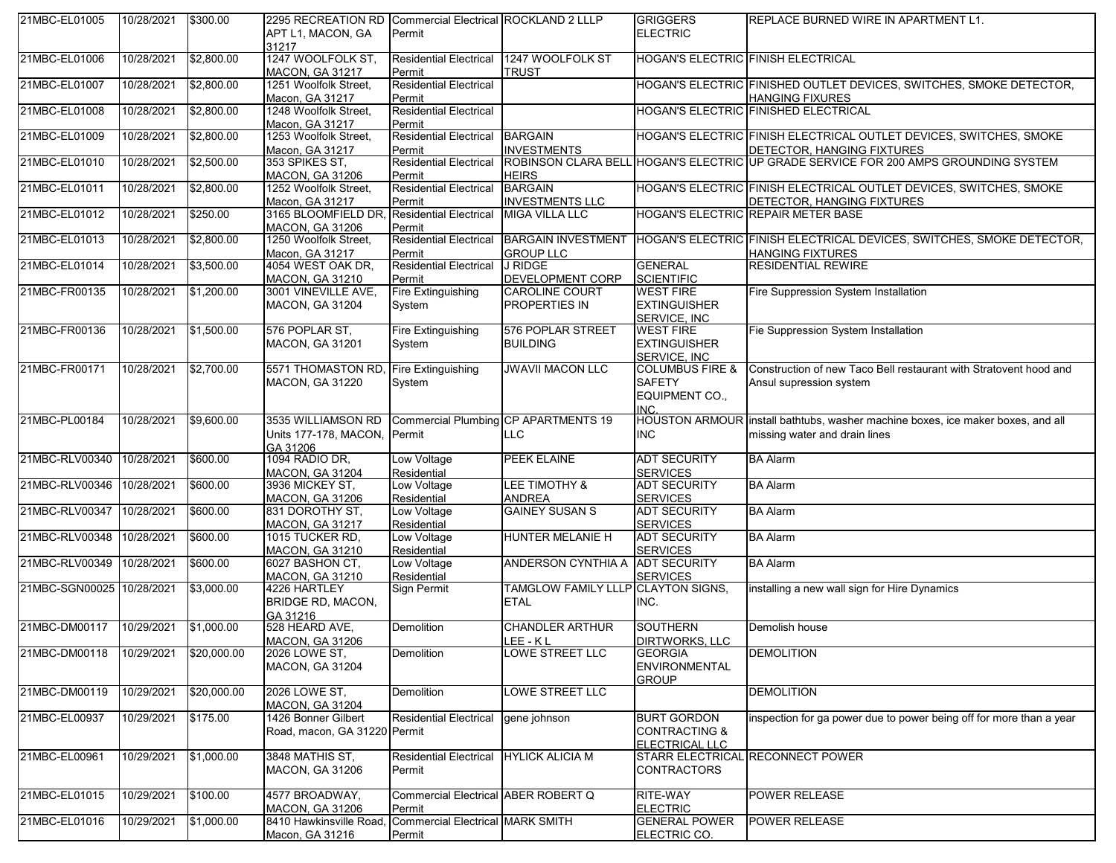| 21MBC-EL01005             | 10/28/2021 | \$300.00    | 2295 RECREATION RD Commercial Electrical ROCKLAND 2 LLLP                    |                                        |                                      | <b>GRIGGERS</b>                      | <b>REPLACE BURNED WIRE IN APARTMENT L1.</b>                                         |
|---------------------------|------------|-------------|-----------------------------------------------------------------------------|----------------------------------------|--------------------------------------|--------------------------------------|-------------------------------------------------------------------------------------|
|                           |            |             | APT L1, MACON, GA                                                           | Permit                                 |                                      | <b>ELECTRIC</b>                      |                                                                                     |
|                           |            |             | 31217                                                                       |                                        |                                      |                                      |                                                                                     |
| 21MBC-EL01006             | 10/28/2021 | \$2,800.00  | 1247 WOOLFOLK ST,                                                           | <b>Residential Electrical</b>          | 1247 WOOLFOLK ST                     |                                      | HOGAN'S ELECTRIC FINISH ELECTRICAL                                                  |
|                           |            |             | <b>MACON, GA 31217</b>                                                      | Permit                                 | TRUST                                |                                      |                                                                                     |
| 21MBC-EL01007             | 10/28/2021 | \$2,800.00  | 1251 Woolfolk Street,                                                       | <b>Residential Electrical</b>          |                                      |                                      | HOGAN'S ELECTRIC FINISHED OUTLET DEVICES, SWITCHES, SMOKE DETECTOR,                 |
|                           |            |             | Macon, GA 31217                                                             | Permit                                 |                                      |                                      | <b>HANGING FIXURES</b>                                                              |
| 21MBC-EL01008             | 10/28/2021 | \$2,800.00  | 1248 Woolfolk Street,                                                       | <b>Residential Electrical</b>          |                                      |                                      | HOGAN'S ELECTRIC FINISHED ELECTRICAL                                                |
|                           |            |             | Macon, GA 31217                                                             | Permit                                 |                                      |                                      |                                                                                     |
| 21MBC-EL01009             | 10/28/2021 | \$2,800.00  | 1253 Woolfolk Street,                                                       | <b>Residential Electrical</b>          | <b>BARGAIN</b>                       |                                      | HOGAN'S ELECTRIC FINISH ELECTRICAL OUTLET DEVICES, SWITCHES, SMOKE                  |
|                           |            |             | Macon, GA 31217                                                             | Permit                                 | <b>INVESTMENTS</b>                   |                                      | DETECTOR, HANGING FIXTURES                                                          |
| 21MBC-EL01010             | 10/28/2021 | \$2,500.00  | 353 SPIKES ST,                                                              | <b>Residential Electrical</b>          |                                      |                                      | ROBINSON CLARA BELL HOGAN'S ELECTRIC UP GRADE SERVICE FOR 200 AMPS GROUNDING SYSTEM |
|                           |            |             | <b>MACON, GA 31206</b>                                                      | Permit                                 | <b>HEIRS</b>                         |                                      |                                                                                     |
| 21MBC-EL01011             | 10/28/2021 | \$2,800.00  | 1252 Woolfolk Street,                                                       | <b>Residential Electrical</b>          | <b>BARGAIN</b>                       |                                      | HOGAN'S ELECTRIC FINISH ELECTRICAL OUTLET DEVICES, SWITCHES, SMOKE                  |
|                           |            |             | Macon, GA 31217                                                             | Permit                                 | <b>INVESTMENTS LLC</b>               |                                      | DETECTOR, HANGING FIXTURES                                                          |
| 21MBC-EL01012             | 10/28/2021 | \$250.00    | 3165 BLOOMFIELD DR, Residential Electrical                                  |                                        | <b>MIGA VILLA LLC</b>                |                                      | HOGAN'S ELECTRIC REPAIR METER BASE                                                  |
|                           |            |             | <b>MACON, GA 31206</b>                                                      | Permit                                 |                                      |                                      |                                                                                     |
| 21MBC-EL01013             | 10/28/2021 | \$2,800.00  | 1250 Woolfolk Street,                                                       | <b>Residential Electrical</b>          | <b>BARGAIN INVESTMENT</b>            |                                      | HOGAN'S ELECTRIC FINISH ELECTRICAL DEVICES, SWITCHES, SMOKE DETECTOR,               |
|                           |            |             | Macon, GA 31217                                                             | Permit                                 | <b>GROUP LLC</b>                     |                                      | <b>HANGING FIXTURES</b>                                                             |
| 21MBC-EL01014             | 10/28/2021 | \$3,500.00  | 4054 WEST OAK DR,                                                           | <b>Residential Electrical</b>          | <b>J RIDGE</b>                       | <b>GENERAL</b>                       | <b>RESIDENTIAL REWIRE</b>                                                           |
|                           |            |             | <b>MACON, GA 31210</b>                                                      | Permit                                 | <b>DEVELOPMENT CORP</b>              | <b>SCIENTIFIC</b>                    |                                                                                     |
| 21MBC-FR00135             | 10/28/2021 | \$1,200.00  | 3001 VINEVILLE AVE,                                                         | Fire Extinguishing                     | <b>CAROLINE COURT</b>                | <b>WEST FIRE</b>                     | Fire Suppression System Installation                                                |
|                           |            |             | <b>MACON, GA 31204</b>                                                      | System                                 | PROPERTIES IN                        | <b>EXTINGUISHER</b>                  |                                                                                     |
|                           |            |             |                                                                             |                                        |                                      | SERVICE. INC                         |                                                                                     |
| 21MBC-FR00136             | 10/28/2021 | \$1,500.00  | 576 POPLAR ST,                                                              | Fire Extinguishing                     | 576 POPLAR STREET                    | <b>WEST FIRE</b>                     | Fie Suppression System Installation                                                 |
|                           |            |             | <b>MACON, GA 31201</b>                                                      | System                                 | <b>BUILDING</b>                      | <b>EXTINGUISHER</b>                  |                                                                                     |
|                           |            |             |                                                                             |                                        |                                      | SERVICE, INC.                        |                                                                                     |
| 21MBC-FR00171             | 10/28/2021 | \$2,700.00  | 5571 THOMASTON RD                                                           | Fire Extinguishing                     | <b>JWAVII MACON LLC</b>              | <b>COLUMBUS FIRE &amp;</b>           | Construction of new Taco Bell restaurant with Stratovent hood and                   |
|                           |            |             | <b>MACON, GA 31220</b>                                                      | System                                 |                                      | <b>SAFETY</b>                        | Ansul supression system                                                             |
|                           |            |             |                                                                             |                                        |                                      | EQUIPMENT CO.,                       |                                                                                     |
|                           |            |             |                                                                             |                                        |                                      | <b>INC</b>                           |                                                                                     |
| 21MBC-PL00184             | 10/28/2021 | \$9,600.00  | 3535 WILLIAMSON RD                                                          |                                        | Commercial Plumbing CP APARTMENTS 19 |                                      | HOUSTON ARMOUR install bathtubs, washer machine boxes, ice maker boxes, and all     |
|                           |            |             | Units 177-178, MACON, Permit                                                |                                        | <b>LLC</b>                           | <b>INC</b>                           | missing water and drain lines                                                       |
|                           |            |             | GA 31206                                                                    |                                        |                                      |                                      |                                                                                     |
| 21MBC-RLV00340            | 10/28/2021 | \$600.00    | 1094 RADIO DR,                                                              | Low Voltage                            | <b>PEEK ELAINE</b>                   | <b>ADT SECURITY</b>                  | <b>BA Alarm</b>                                                                     |
|                           |            |             | <b>MACON, GA 31204</b>                                                      | Residential                            |                                      | <b>SERVICES</b>                      |                                                                                     |
| 21MBC-RLV00346            | 10/28/2021 | \$600.00    | 3936 MICKEY ST,                                                             | Low Voltage                            | LEE TIMOTHY &                        | <b>ADT SECURITY</b>                  | <b>BA Alarm</b>                                                                     |
|                           |            |             | <b>MACON, GA 31206</b>                                                      | Residential                            | <b>ANDREA</b>                        | <b>SERVICES</b>                      |                                                                                     |
| 21MBC-RLV00347            | 10/28/2021 | \$600.00    | 831 DOROTHY ST.                                                             | Low Voltage                            | <b>GAINEY SUSAN S</b>                | <b>ADT SECURITY</b>                  | <b>BA</b> Alarm                                                                     |
|                           |            |             | <b>MACON, GA 31217</b>                                                      | Residential                            |                                      | <b>SERVICES</b>                      |                                                                                     |
| 21MBC-RLV00348            | 10/28/2021 | \$600.00    | 1015 TUCKER RD,                                                             | Low Voltage                            | HUNTER MELANIE H                     | <b>ADT SECURITY</b>                  | <b>BA Alarm</b>                                                                     |
|                           |            |             | <b>MACON, GA 31210</b>                                                      | Residential                            |                                      | <b>SERVICES</b>                      |                                                                                     |
| 21MBC-RLV00349            | 10/28/2021 | \$600.00    | 6027 BASHON CT,                                                             | Low Voltage                            | ANDERSON CYNTHIA A ADT SECURITY      |                                      | <b>BA Alarm</b>                                                                     |
|                           |            |             | <b>MACON, GA 31210</b>                                                      | Residential                            |                                      | <b>SERVICES</b>                      |                                                                                     |
| 21MBC-SGN00025 10/28/2021 |            | \$3,000.00  | 4226 HARTLEY                                                                | Sign Permit                            | TAMGLOW FAMILY LLLP CLAYTON SIGNS,   |                                      | installing a new wall sign for Hire Dynamics                                        |
|                           |            |             | <b>BRIDGE RD, MACON,</b>                                                    |                                        | <b>ETAL</b>                          | INC.                                 |                                                                                     |
|                           |            |             | GA 31216                                                                    |                                        |                                      |                                      |                                                                                     |
| 21MBC-DM00117             | 10/29/2021 | \$1,000.00  | 528 HEARD AVE,                                                              | Demolition                             | <b>CHANDLER ARTHUR</b>               | <b>SOUTHERN</b>                      | Demolish house                                                                      |
|                           |            |             | <b>MACON, GA 31206</b>                                                      |                                        | LEE-KL                               | <b>DIRTWORKS, LLC</b>                |                                                                                     |
| 21MBC-DM00118             | 10/29/2021 | \$20,000.00 | 2026 LOWE ST,                                                               | Demolition                             | LOWE STREET LLC                      | <b>GEORGIA</b>                       | <b>DEMOLITION</b>                                                                   |
|                           |            |             |                                                                             |                                        |                                      |                                      |                                                                                     |
|                           |            |             | <b>MACON, GA 31204</b>                                                      |                                        |                                      | <b>ENVIRONMENTAL</b>                 |                                                                                     |
|                           |            |             |                                                                             |                                        |                                      | <b>GROUP</b>                         |                                                                                     |
| 21MBC-DM00119             | 10/29/2021 | \$20,000.00 | 2026 LOWE ST,                                                               | Demolition                             | <b>LOWE STREET LLC</b>               |                                      | <b>DEMOLITION</b>                                                                   |
|                           |            |             | <b>MACON, GA 31204</b>                                                      |                                        |                                      |                                      |                                                                                     |
| 21MBC-EL00937             | 10/29/2021 | \$175.00    | 1426 Bonner Gilbert                                                         | <b>Residential Electrical</b>          | gene johnson                         | <b>BURT GORDON</b>                   | inspection for ga power due to power being off for more than a year                 |
|                           |            |             | Road, macon, GA 31220 Permit                                                |                                        |                                      | <b>CONTRACTING &amp;</b>             |                                                                                     |
|                           |            |             |                                                                             |                                        |                                      | ELECTRICAL LLC                       |                                                                                     |
| 21MBC-EL00961             | 10/29/2021 | \$1,000.00  | 3848 MATHIS ST,                                                             | Residential Electrical HYLICK ALICIA M |                                      |                                      | STARR ELECTRICAL RECONNECT POWER                                                    |
|                           |            |             | <b>MACON, GA 31206</b>                                                      | Permit                                 |                                      | <b>CONTRACTORS</b>                   |                                                                                     |
|                           |            |             |                                                                             |                                        |                                      |                                      |                                                                                     |
| 21MBC-EL01015             | 10/29/2021 | \$100.00    | 4577 BROADWAY,                                                              | Commercial Electrical ABER ROBERT Q    |                                      | RITE-WAY                             | POWER RELEASE                                                                       |
|                           |            |             | <b>MACON, GA 31206</b>                                                      | Permit                                 |                                      | <b>ELECTRIC</b>                      |                                                                                     |
| 21MBC-EL01016             | 10/29/2021 | \$1,000.00  | 8410 Hawkinsville Road, Commercial Electrical MARK SMITH<br>Macon, GA 31216 | Permit                                 |                                      | <b>GENERAL POWER</b><br>ELECTRIC CO. | POWER RELEASE                                                                       |